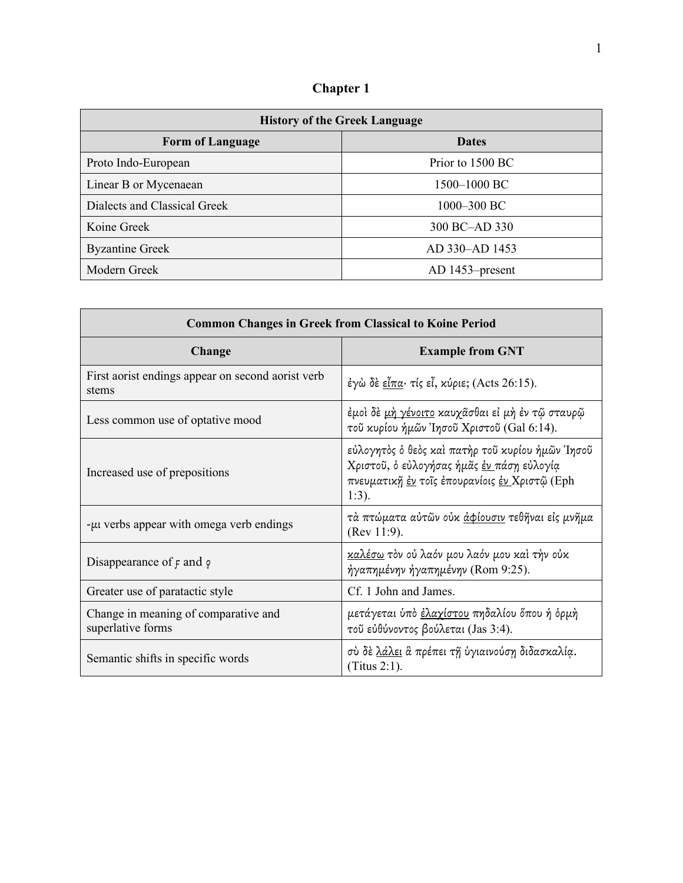**Chapter 1** 

| <b>History of the Greek Language</b> |                   |  |
|--------------------------------------|-------------------|--|
| <b>Form of Language</b>              | <b>Dates</b>      |  |
| Proto Indo-European                  | Prior to 1500 BC  |  |
| Linear B or Mycenaean                | 1500–1000 BC      |  |
| Dialects and Classical Greek         | 1000-300 BC       |  |
| Koine Greek                          | 300 BC-AD 330     |  |
| <b>Byzantine Greek</b>               | AD 330-AD 1453    |  |
| Modern Greek                         | $AD$ 1453–present |  |

| <b>Common Changes in Greek from Classical to Koine Period</b> |                                                                                                                                                            |  |
|---------------------------------------------------------------|------------------------------------------------------------------------------------------------------------------------------------------------------------|--|
| Change                                                        | <b>Example from GNT</b>                                                                                                                                    |  |
| First aorist endings appear on second aorist verb<br>stems    | έγὼ δε εἶπα· τίς εἶ, κύριε; (Acts 26:15).                                                                                                                  |  |
| Less common use of optative mood                              | έμοὶ δὲ <u>μὴ γένοιτο</u> καυχᾶσθαι εἰ μὴ ἐν τῷ σταυρῷ<br>τοῦ κυρίου ήμῶν Ἰησοῦ Χριστοῦ (Gal 6:14).                                                        |  |
| Increased use of prepositions                                 | εὐλογητὸς ὁ θεὸς καὶ πατὴρ τοῦ κυρίου ἡμῶν Ἰησοῦ<br>Χριστοῦ, ὁ εὐλογήσας ἡμᾶς έν πάση εὐλογία<br>πνευματική έν τοΐς έπουρανίοις έν Χριστώ (Eph<br>$1:3$ ). |  |
| -μι verbs appear with omega verb endings                      | τὰ πτώματα αὐτῶν οὐκ <u>ἀφίουσιν</u> τεθῆναι εἰς μνῆμα<br>(Rev 11:9).                                                                                      |  |
| Disappearance of $\epsilon$ and $\varphi$                     | καλέσω τον ού λαόν μου λαόν μου καὶ τὴν οὐκ<br>ήγαπημένην ήγαπημένην (Rom 9:25).                                                                           |  |
| Greater use of paratactic style                               | Cf. 1 John and James.                                                                                                                                      |  |
| Change in meaning of comparative and<br>superlative forms     | μετάγεται ύπὸ <u>ἐλαχίστου</u> πηδαλίου ὅπου ή ὁρμὴ<br>τοῦ εὐθύνοντος βούλεται (Jas 3:4).                                                                  |  |
| Semantic shifts in specific words                             | σύ δε λάλει & πρέπει τη ύγιαινούση διδασκαλία.<br>(Titus 2:1).                                                                                             |  |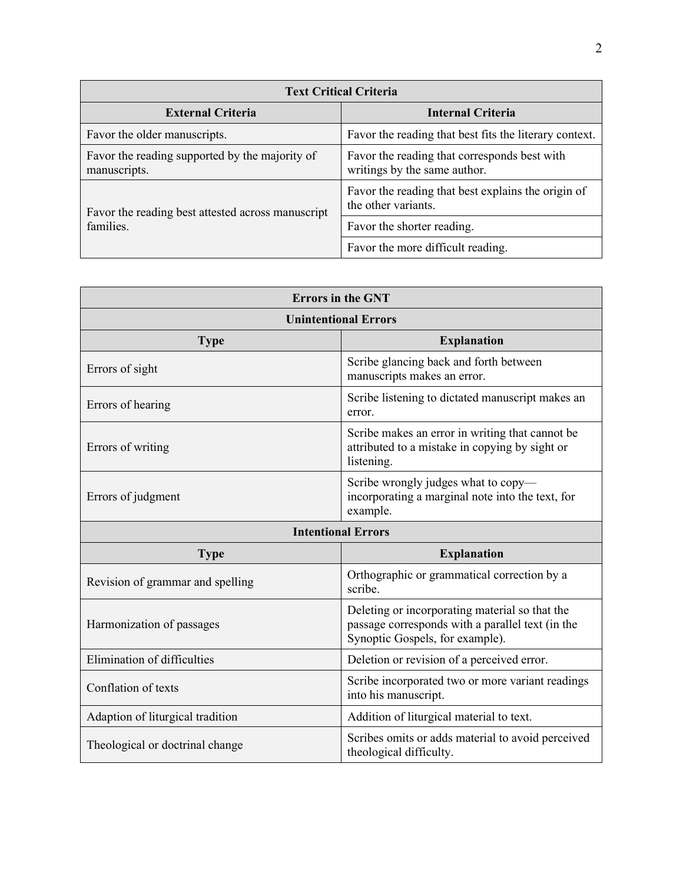| <b>Text Critical Criteria</b>                                  |                                                                              |  |
|----------------------------------------------------------------|------------------------------------------------------------------------------|--|
| <b>External Criteria</b>                                       | <b>Internal Criteria</b>                                                     |  |
| Favor the older manuscripts.                                   | Favor the reading that best fits the literary context.                       |  |
| Favor the reading supported by the majority of<br>manuscripts. | Favor the reading that corresponds best with<br>writings by the same author. |  |
| Favor the reading best attested across manuscript              | Favor the reading that best explains the origin of<br>the other variants.    |  |
| families.                                                      | Favor the shorter reading.                                                   |  |
|                                                                | Favor the more difficult reading.                                            |  |

| <b>Errors in the GNT</b>          |                                                                                                                                       |  |
|-----------------------------------|---------------------------------------------------------------------------------------------------------------------------------------|--|
| <b>Unintentional Errors</b>       |                                                                                                                                       |  |
| <b>Explanation</b><br><b>Type</b> |                                                                                                                                       |  |
| Errors of sight                   | Scribe glancing back and forth between<br>manuscripts makes an error.                                                                 |  |
| Errors of hearing                 | Scribe listening to dictated manuscript makes an<br>error.                                                                            |  |
| Errors of writing                 | Scribe makes an error in writing that cannot be<br>attributed to a mistake in copying by sight or<br>listening.                       |  |
| Errors of judgment                | Scribe wrongly judges what to copy-<br>incorporating a marginal note into the text, for<br>example.                                   |  |
| <b>Intentional Errors</b>         |                                                                                                                                       |  |
| <b>Explanation</b><br><b>Type</b> |                                                                                                                                       |  |
| Revision of grammar and spelling  | Orthographic or grammatical correction by a<br>scribe.                                                                                |  |
| Harmonization of passages         | Deleting or incorporating material so that the<br>passage corresponds with a parallel text (in the<br>Synoptic Gospels, for example). |  |
| Elimination of difficulties       | Deletion or revision of a perceived error.                                                                                            |  |
| Conflation of texts               | Scribe incorporated two or more variant readings<br>into his manuscript.                                                              |  |
| Adaption of liturgical tradition  | Addition of liturgical material to text.                                                                                              |  |
| Theological or doctrinal change   | Scribes omits or adds material to avoid perceived<br>theological difficulty.                                                          |  |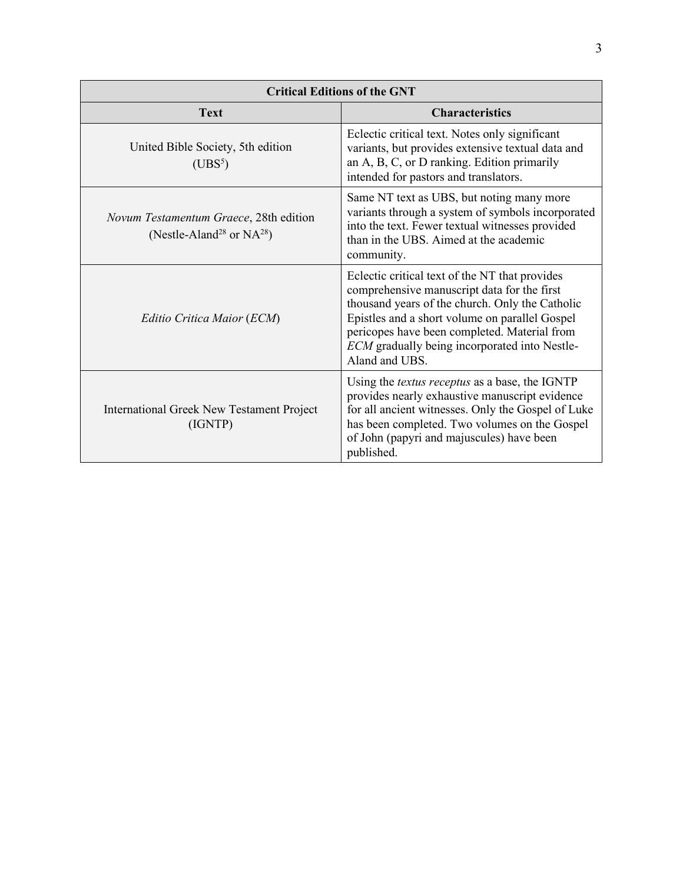| <b>Critical Editions of the GNT</b>                                                  |                                                                                                                                                                                                                                                                                                                       |  |
|--------------------------------------------------------------------------------------|-----------------------------------------------------------------------------------------------------------------------------------------------------------------------------------------------------------------------------------------------------------------------------------------------------------------------|--|
| <b>Text</b>                                                                          | <b>Characteristics</b>                                                                                                                                                                                                                                                                                                |  |
| United Bible Society, 5th edition<br>(UBS <sup>5</sup> )                             | Eclectic critical text. Notes only significant<br>variants, but provides extensive textual data and<br>an A, B, C, or D ranking. Edition primarily<br>intended for pastors and translators.                                                                                                                           |  |
| Novum Testamentum Graece, 28th edition<br>(Nestle-Aland <sup>28</sup> or $NA^{28}$ ) | Same NT text as UBS, but noting many more<br>variants through a system of symbols incorporated<br>into the text. Fewer textual witnesses provided<br>than in the UBS. Aimed at the academic<br>community.                                                                                                             |  |
| Editio Critica Maior (ECM)                                                           | Eclectic critical text of the NT that provides<br>comprehensive manuscript data for the first<br>thousand years of the church. Only the Catholic<br>Epistles and a short volume on parallel Gospel<br>pericopes have been completed. Material from<br>ECM gradually being incorporated into Nestle-<br>Aland and UBS. |  |
| <b>International Greek New Testament Project</b><br>(IGNTP)                          | Using the <i>textus receptus</i> as a base, the IGNTP<br>provides nearly exhaustive manuscript evidence<br>for all ancient witnesses. Only the Gospel of Luke<br>has been completed. Two volumes on the Gospel<br>of John (papyri and majuscules) have been<br>published.                                             |  |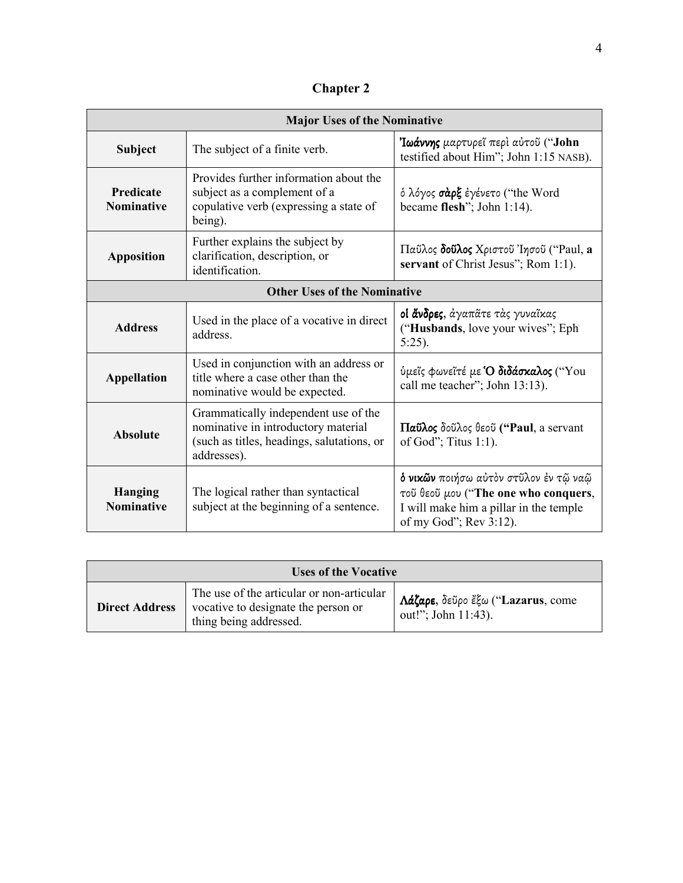**Chapter 2** 

| <b>Major Uses of the Nominative</b>   |                                                                                                                                          |                                                                                                                                                      |
|---------------------------------------|------------------------------------------------------------------------------------------------------------------------------------------|------------------------------------------------------------------------------------------------------------------------------------------------------|
| Subject                               | The subject of a finite verb.                                                                                                            | Ιωάννης μαρτυρεῖ περὶ αὐτοῦ ("John<br>testified about Him"; John 1:15 NASB).                                                                         |
| <b>Predicate</b><br><b>Nominative</b> | Provides further information about the<br>subject as a complement of a<br>copulative verb (expressing a state of<br>being).              | ό λόγος σάρξ έγένετο ("the Word<br>became flesh"; John $1:14$ ).                                                                                     |
| <b>Apposition</b>                     | Further explains the subject by<br>clarification, description, or<br>identification.                                                     | Παῦλος δοῦλος Χριστοῦ Ίησοῦ ("Paul, a<br>servant of Christ Jesus"; Rom 1:1).                                                                         |
| <b>Other Uses of the Nominative</b>   |                                                                                                                                          |                                                                                                                                                      |
| <b>Address</b>                        | Used in the place of a vocative in direct<br>address.                                                                                    | <b>οἱ ἄνδρες</b> , ἀγαπᾶτε τὰς γυναῖκας<br>("Husbands, love your wives"; Eph<br>$5:25$ ).                                                            |
| <b>Appellation</b>                    | Used in conjunction with an address or<br>title where a case other than the<br>nominative would be expected.                             | ύμεΐς φωνεΐτέ με 'Ο διδάσκαλος ("You<br>call me teacher"; John 13:13).                                                                               |
| <b>Absolute</b>                       | Grammatically independent use of the<br>nominative in introductory material<br>(such as titles, headings, salutations, or<br>addresses). | Παΰλος δοῦλος θεοῦ ("Paul, a servant<br>of God"; Titus $1:1$ ).                                                                                      |
| <b>Hanging</b><br><b>Nominative</b>   | The logical rather than syntactical<br>subject at the beginning of a sentence.                                                           | δ νικών ποιήσω αύτον στῦλον έν τῷ ναῷ<br>τοῦ θεοῦ μου ("The one who conquers,<br>I will make him a pillar in the temple<br>of my God"; $Rev 3:12$ ). |

| <b>Uses of the Vocative</b> |                                                                                                            |                                                          |
|-----------------------------|------------------------------------------------------------------------------------------------------------|----------------------------------------------------------|
| <b>Direct Address</b>       | The use of the articular or non-articular<br>vocative to designate the person or<br>thing being addressed. | Λάζαρε, δεῦρο ἔξω ("Lazarus, come<br>out!"; John 11:43). |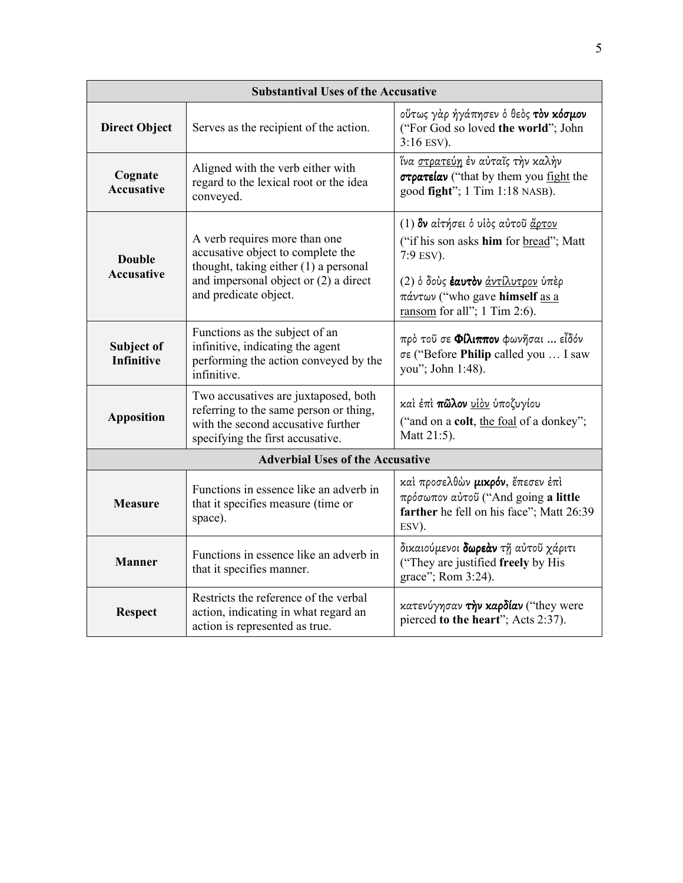| <b>Substantival Uses of the Accusative</b> |                                                                                                                                                                               |                                                                                                                                                                                                 |
|--------------------------------------------|-------------------------------------------------------------------------------------------------------------------------------------------------------------------------------|-------------------------------------------------------------------------------------------------------------------------------------------------------------------------------------------------|
| <b>Direct Object</b>                       | Serves as the recipient of the action.                                                                                                                                        | ούτως γάρ ήγάπησεν ό θεός τον κόσμον<br>("For God so loved the world"; John<br>$3:16$ ESV).                                                                                                     |
| Cognate<br><b>Accusative</b>               | Aligned with the verb either with<br>regard to the lexical root or the idea<br>conveyed.                                                                                      | ΐνα <u>στρατεύη</u> ἐν αὐταῖς τὴν καλὴν<br>στρατείαν ("that by them you fight the<br>good fight"; 1 Tim 1:18 NASB).                                                                             |
| <b>Double</b><br><b>Accusative</b>         | A verb requires more than one<br>accusative object to complete the<br>thought, taking either (1) a personal<br>and impersonal object or (2) a direct<br>and predicate object. | (1) δν αίτήσει ο υίος αύτου άρτον<br>("if his son asks him for bread"; Matt<br>7:9 ESV).<br>(2) ό δούς έαυτον άντίλυτρον ύπέρ<br>πάντων ("who gave himself as a<br>ransom for all"; 1 Tim 2:6). |
| Subject of<br><b>Infinitive</b>            | Functions as the subject of an<br>infinitive, indicating the agent<br>performing the action conveyed by the<br>infinitive.                                                    | πρὸ τοῦ σε Φίλιππον φωνῆσαι  εἶδόν<br>σε ("Before Philip called you  I saw<br>you"; John 1:48).                                                                                                 |
| <b>Apposition</b>                          | Two accusatives are juxtaposed, both<br>referring to the same person or thing,<br>with the second accusative further<br>specifying the first accusative.                      | καί έπί π <b>ῶλον</b> <u>υίδν</u> ύποζυγίου<br>("and on a colt, the foal of a donkey";<br>Matt 21:5).                                                                                           |
|                                            | <b>Adverbial Uses of the Accusative</b>                                                                                                                                       |                                                                                                                                                                                                 |
| <b>Measure</b>                             | Functions in essence like an adverb in<br>that it specifies measure (time or<br>space).                                                                                       | καί προσελθών μικρόν, έπεσεν έπι<br>πρόσωπον αύτοῦ ("And going a little<br>farther he fell on his face"; Matt 26:39<br>ESV).                                                                    |
| <b>Manner</b>                              | Functions in essence like an adverb in<br>that it specifies manner.                                                                                                           | δικαιούμενοι δωρεάν τη αύτου χάριτι<br>("They are justified freely by His<br>grace"; Rom 3:24).                                                                                                 |
| <b>Respect</b>                             | Restricts the reference of the verbal<br>action, indicating in what regard an<br>action is represented as true.                                                               | κατενύγησαν την καρδίαν ("they were<br>pierced to the heart"; Acts 2:37).                                                                                                                       |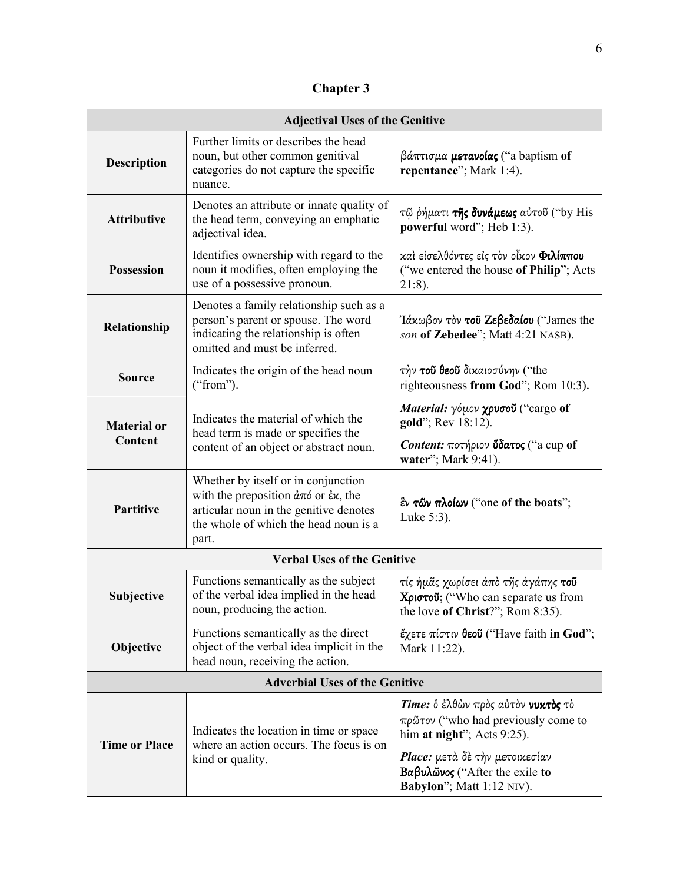**Chapter 3** 

| <b>Adjectival Uses of the Genitive</b> |                                                                                                                                                                                                                       |                                                                                                                       |
|----------------------------------------|-----------------------------------------------------------------------------------------------------------------------------------------------------------------------------------------------------------------------|-----------------------------------------------------------------------------------------------------------------------|
| <b>Description</b>                     | Further limits or describes the head<br>noun, but other common genitival<br>categories do not capture the specific<br>nuance.                                                                                         | $\beta$ άπτισμα <b>μετανοίας</b> ("a baptism of<br>repentance"; Mark 1:4).                                            |
| <b>Attributive</b>                     | Denotes an attribute or innate quality of<br>the head term, conveying an emphatic<br>adjectival idea.                                                                                                                 | τῷ ρήματι της δυνάμεως αύτοῦ ("by His<br>powerful word"; Heb 1:3).                                                    |
| <b>Possession</b>                      | Identifies ownership with regard to the<br>noun it modifies, often employing the<br>use of a possessive pronoun.                                                                                                      | και είσελθόντες είς τον οίκον Φιλίππου<br>("we entered the house of Philip"; Acts<br>$21:8$ ).                        |
| Relationship                           | Denotes a family relationship such as a<br>person's parent or spouse. The word<br>indicating the relationship is often<br>omitted and must be inferred.                                                               | Ιάκωβον τον τού Ζεβεδαίου ("James the<br>son of Zebedee"; Matt 4:21 NASB).                                            |
| <b>Source</b>                          | Indicates the origin of the head noun<br>("from").                                                                                                                                                                    | τήν του θεου δικαιοσύνην ("the<br>righteousness from God"; Rom 10:3).                                                 |
| <b>Material or</b><br>Content          | Indicates the material of which the<br>head term is made or specifies the<br>content of an object or abstract noun.                                                                                                   | Material: γόμον χρυσοῦ ("cargo of<br>gold"; Rev 18:12).                                                               |
|                                        |                                                                                                                                                                                                                       | Content: ποτήριον ύδατος ("a cup of<br>water"; Mark 9:41).                                                            |
| <b>Partitive</b>                       | Whether by itself or in conjunction<br>with the preposition $\dot{\alpha}\pi\dot{\alpha}$ or $\dot{\epsilon}\kappa$ , the<br>articular noun in the genitive denotes<br>the whole of which the head noun is a<br>part. | $\mathbf{\hat{E}}\mathbf{v}$ τῶν πλοίων ("one of the boats";<br>Luke 5:3).                                            |
|                                        | <b>Verbal Uses of the Genitive</b>                                                                                                                                                                                    |                                                                                                                       |
| Subjective                             | Functions semantically as the subject<br>of the verbal idea implied in the head<br>noun, producing the action.                                                                                                        | τίς ήμᾶς χωρίσει ἀπὸ τῆς ἀγάπης <b>τοῦ</b><br>Χριστοῦ; ("Who can separate us from<br>the love of Christ?"; Rom 8:35). |
| Objective                              | Functions semantically as the direct<br>object of the verbal idea implicit in the<br>head noun, receiving the action.                                                                                                 | έχετε πίστιν θεοΰ ("Have faith in God";<br>Mark 11:22).                                                               |
|                                        | <b>Adverbial Uses of the Genitive</b>                                                                                                                                                                                 |                                                                                                                       |
| <b>Time or Place</b>                   | Indicates the location in time or space<br>where an action occurs. The focus is on<br>kind or quality.                                                                                                                | Time: δ έλθών πρός αύτον νυκτός το<br>$πρ\tilde{ω}τον$ ("who had previously come to<br>him at night"; Acts 9:25).     |
|                                        |                                                                                                                                                                                                                       | Place: μετά δε την μετοικεσίαν<br>$Baβυλώνος$ ("After the exile to<br>Babylon"; Matt 1:12 NIV).                       |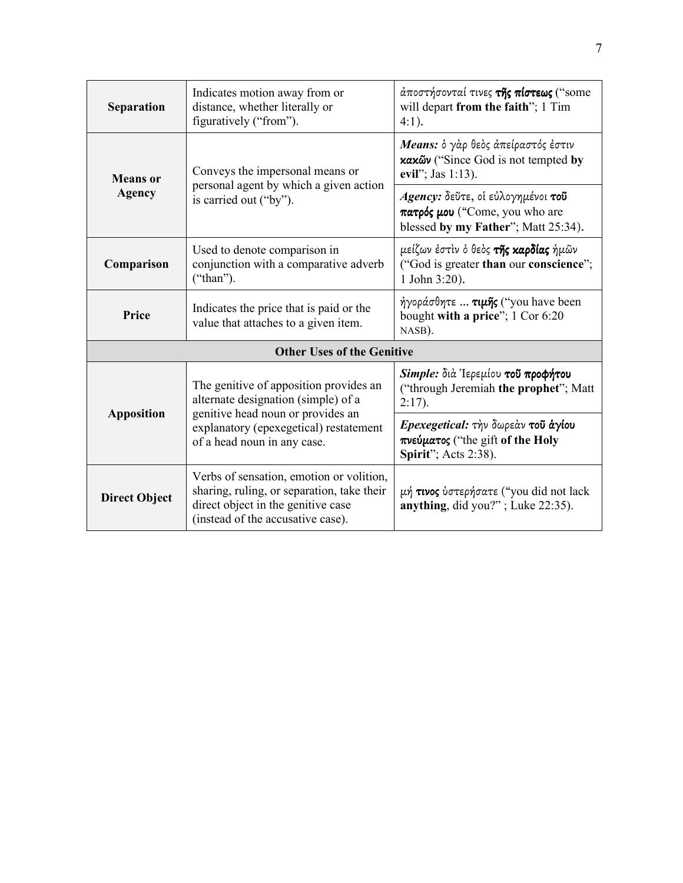| <b>Separation</b>                                                                                                                | Indicates motion away from or<br>distance, whether literally or<br>figuratively ("from").                                                                         | άποστήσονταί τινες <b>της πίστεως</b> ("some<br>will depart from the faith"; 1 Tim<br>$4:1$ ).         |
|----------------------------------------------------------------------------------------------------------------------------------|-------------------------------------------------------------------------------------------------------------------------------------------------------------------|--------------------------------------------------------------------------------------------------------|
| Conveys the impersonal means or<br><b>Means</b> or<br>personal agent by which a given action<br>Agency<br>is carried out ("by"). |                                                                                                                                                                   | Means: δ γάρ θεδς άπείραστός έστιν<br>κακῶν ("Since God is not tempted by<br>evil"; Jas 1:13).         |
|                                                                                                                                  | Agency: δεύτε, οι εύλογημένοι του<br>πατρός μου ("Come, you who are<br>blessed by my Father"; Matt 25:34).                                                        |                                                                                                        |
| Comparison                                                                                                                       | Used to denote comparison in<br>conjunction with a comparative adverb<br>("than").                                                                                | μείζων έστιν ό θεός <b>της καρδίας</b> ήμῶν<br>("God is greater than our conscience";<br>1 John 3:20). |
| Price                                                                                                                            | Indicates the price that is paid or the<br>value that attaches to a given item.                                                                                   | ήγοράσθητε <b>τιμης</b> ("you have been<br>bought with a price"; 1 Cor 6:20<br>NASB).                  |
|                                                                                                                                  | <b>Other Uses of the Genitive</b>                                                                                                                                 |                                                                                                        |
| <b>Apposition</b>                                                                                                                | The genitive of apposition provides an<br>alternate designation (simple) of a                                                                                     | Simple: διά Ιερεμίου του προφήτου<br>("through Jeremiah the prophet"; Matt<br>$2:17$ ).                |
|                                                                                                                                  | genitive head noun or provides an<br>explanatory (epexegetical) restatement<br>of a head noun in any case.                                                        | Epexegetical: την δωρεάν του άγίου<br>πνεύματος ("the gift of the Holy<br>Spirit"; Acts 2:38).         |
| <b>Direct Object</b>                                                                                                             | Verbs of sensation, emotion or volition,<br>sharing, ruling, or separation, take their<br>direct object in the genitive case<br>(instead of the accusative case). | μή τινος ύστερήσατε ("you did not lack<br>anything, did you?"; Luke $22:35$ ).                         |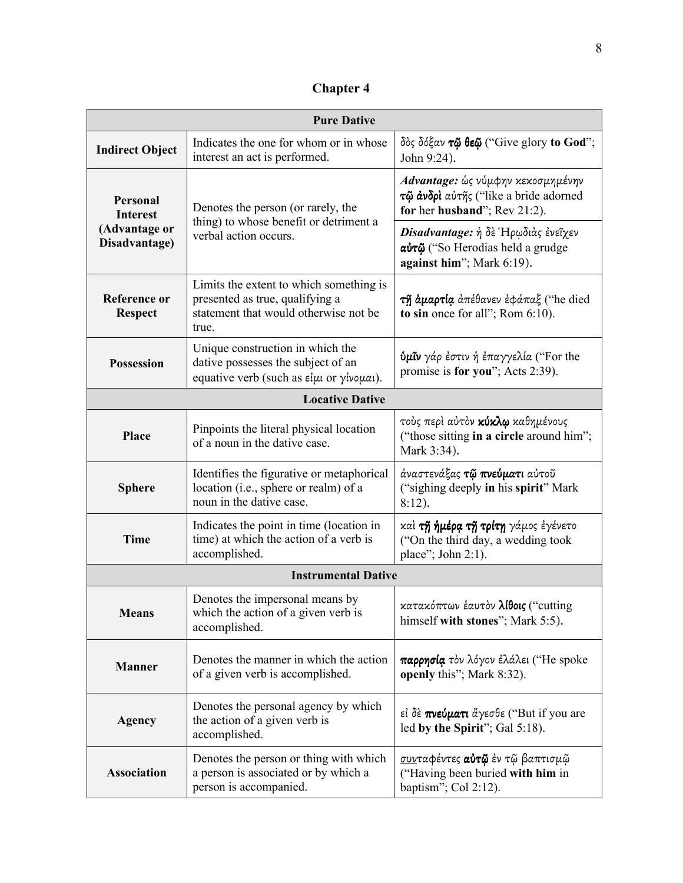**Chapter 4**

| <b>Pure Dative</b>                                                   |                                                                                                                              |                                                                                                            |
|----------------------------------------------------------------------|------------------------------------------------------------------------------------------------------------------------------|------------------------------------------------------------------------------------------------------------|
| <b>Indirect Object</b>                                               | Indicates the one for whom or in whose<br>interest an act is performed.                                                      | δός δόξαν τῷ θεῷ ("Give glory to God";<br>John 9:24).                                                      |
| <b>Personal</b><br><b>Interest</b><br>(Advantage or<br>Disadvantage) | Denotes the person (or rarely, the<br>thing) to whose benefit or detriment a<br>verbal action occurs.                        | Advantage: ώς νύμφην κεκοσμημένην<br>τῷ ἀνδρί αὐτῆς ("like a bride adorned<br>for her husband"; Rev 21:2). |
|                                                                      |                                                                                                                              | Disadvantage: ή δε Ηρωδιάς ένεῖχεν<br>αύτῷ ("So Herodias held a grudge<br>against him"; Mark 6:19).        |
| <b>Reference or</b><br><b>Respect</b>                                | Limits the extent to which something is<br>presented as true, qualifying a<br>statement that would otherwise not be<br>true. | τη άμαρτία απέθανεν έφάπαξ ("he died<br>to sin once for all"; Rom $6:10$ ).                                |
| <b>Possession</b>                                                    | Unique construction in which the<br>dative possesses the subject of an<br>equative verb (such as είμι or γίνομαι).           | <b>ύμῖν</b> γάρ ἐστιν ἡ ἐπαγγελία ("For the<br>promise is for you"; Acts 2:39).                            |
| <b>Locative Dative</b>                                               |                                                                                                                              |                                                                                                            |
| Place                                                                | Pinpoints the literal physical location<br>of a noun in the dative case.                                                     | τούς περί αύτον κύκλω καθημένους<br>("those sitting in a circle around him";<br>Mark 3:34).                |
| <b>Sphere</b>                                                        | Identifies the figurative or metaphorical<br>location (i.e., sphere or realm) of a<br>noun in the dative case.               | άναστενάξας <b>τῷ πνεύματι</b> αὐτοῦ<br>("sighing deeply in his spirit" Mark<br>$8:12$ ).                  |
| <b>Time</b>                                                          | Indicates the point in time (location in<br>time) at which the action of a verb is<br>accomplished.                          | καὶ <b>τῆ ἡμέρα τῆ τρίτη</b> γάμος ἐγένετο<br>("On the third day, a wedding took<br>place"; John 2:1).     |
|                                                                      | <b>Instrumental Dative</b>                                                                                                   |                                                                                                            |
| <b>Means</b>                                                         | Denotes the impersonal means by<br>which the action of a given verb is<br>accomplished.                                      | κατακόπτων έαυτον λίθοις ("cutting<br>himself with stones"; Mark 5:5).                                     |
| <b>Manner</b>                                                        | Denotes the manner in which the action<br>of a given verb is accomplished.                                                   | παρρησία τον λόγον έλάλει ("He spoke<br>openly this"; Mark 8:32).                                          |
| <b>Agency</b>                                                        | Denotes the personal agency by which<br>the action of a given verb is<br>accomplished.                                       | εί δε πνεύματι άγεσθε ("But if you are<br>led by the Spirit"; Gal 5:18).                                   |
| <b>Association</b>                                                   | Denotes the person or thing with which<br>a person is associated or by which a<br>person is accompanied.                     | <u>συν</u> ταφέντες <b>αὐτῷ</b> ἐν τῷ βαπτισμῷ<br>("Having been buried with him in<br>baptism"; Col 2:12). |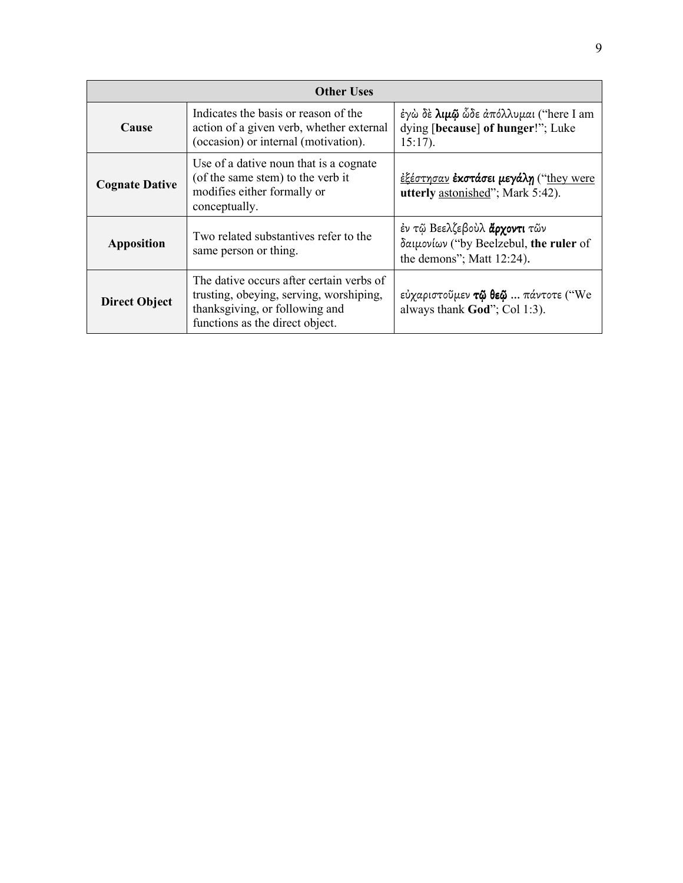| <b>Other Uses</b>     |                                                                                                                                                          |                                                                                                            |
|-----------------------|----------------------------------------------------------------------------------------------------------------------------------------------------------|------------------------------------------------------------------------------------------------------------|
| Cause                 | Indicates the basis or reason of the<br>action of a given verb, whether external<br>(occasion) or internal (motivation).                                 | έγω δε λιμώ ὧδε απόλλυμαι ("here I am<br>dying [because] of hunger!"; Luke<br>$15:17$ ).                   |
| <b>Cognate Dative</b> | Use of a dative noun that is a cognate<br>(of the same stem) to the verb it<br>modifies either formally or<br>conceptually.                              | <u>έξέστησαν</u> <b>έκστάσει μεγάλη</b> ("they were<br>utterly astonished"; Mark 5:42).                    |
| <b>Apposition</b>     | Two related substantives refer to the<br>same person or thing.                                                                                           | έν τῷ Βεελζεβούλ <b>ἄρχοντι</b> τῶν<br>δαιμονίων ("by Beelzebul, the ruler of<br>the demons"; Matt 12:24). |
| <b>Direct Object</b>  | The dative occurs after certain verbs of<br>trusting, obeying, serving, worshiping,<br>thanksgiving, or following and<br>functions as the direct object. | εύχαριστοῦμεν τῷ θεῷ  πάντοτε ("We<br>always thank God"; Col 1:3).                                         |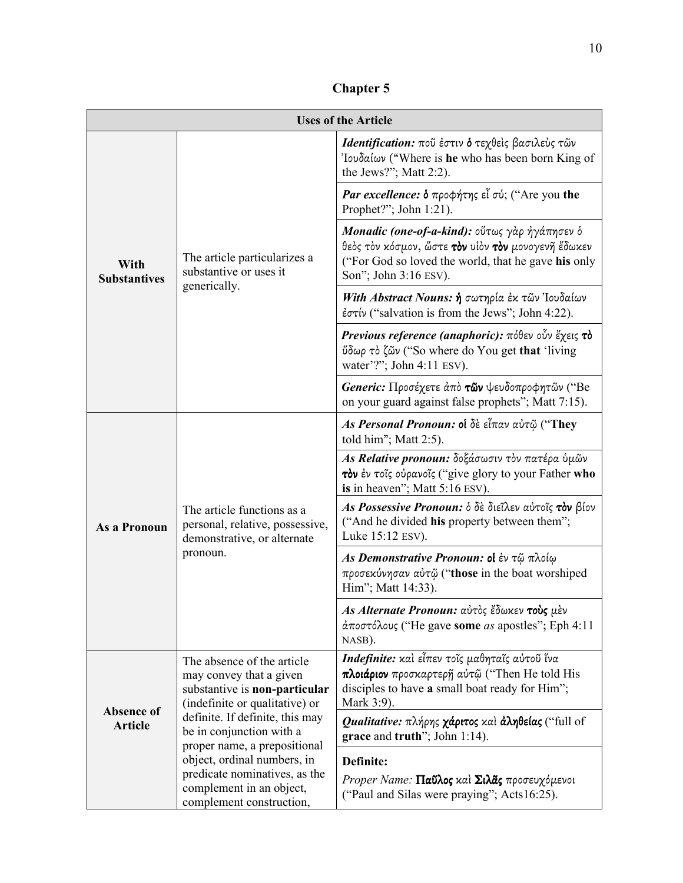| <b>Uses of the Article</b>          |                                                                                                                                                      |                                                                                                                                                                                            |  |
|-------------------------------------|------------------------------------------------------------------------------------------------------------------------------------------------------|--------------------------------------------------------------------------------------------------------------------------------------------------------------------------------------------|--|
| With<br><b>Substantives</b>         |                                                                                                                                                      | Identification: ποῦ ἐστιν δ τεχθείς βασιλεύς τῶν<br>'Iουδαίων ("Where is he who has been born King of<br>the Jews?"; Matt 2:2).                                                            |  |
|                                     |                                                                                                                                                      | Par excellence: δ προφήτης εἶ σύ; ("Are you the<br>Prophet?"; John 1:21).                                                                                                                  |  |
|                                     | The article particularizes a<br>substantive or uses it                                                                                               | Monadic (one-of-a-kind): οὕτως γὰρ ἠγάπησεν δ<br>θεός τον κόσμον, ὥστε <b>τον</b> υίον τον μονογενῆ ἔδωκεν<br>("For God so loved the world, that he gave his only<br>Son"; John 3:16 ESV). |  |
|                                     | generically.                                                                                                                                         | With Abstract Nouns: ή σωτηρία έκ τῶν Ἰουδαίων<br>έστίν ("salvation is from the Jews"; John 4:22).                                                                                         |  |
|                                     |                                                                                                                                                      | Previous reference (anaphoric): πόθεν οὖν ἔχεις τὸ<br>ύδωρ τὸ ζῶν ("So where do You get that 'living<br>water'?"; John 4:11 ESV).                                                          |  |
|                                     |                                                                                                                                                      | Generic: Προσέχετε άπό των ψευδοπροφητῶν ("Be<br>on your guard against false prophets"; Matt 7:15).                                                                                        |  |
| As a Pronoun                        |                                                                                                                                                      | As Personal Pronoun: οί δε εἶπαν αὐτῷ ("They<br>told him"; Matt 2:5).                                                                                                                      |  |
|                                     |                                                                                                                                                      | As Relative pronoun: δοξάσωσιν τον πατέρα ύμῶν<br>τον έν τοΐς ούρανοΐς ("give glory to your Father who<br>is in heaven"; Matt 5:16 ESV).                                                   |  |
|                                     | The article functions as a<br>personal, relative, possessive,<br>demonstrative, or alternate                                                         | As Possessive Pronoun: δ δε διεΐλεν αύτοΐς τον βίον<br>("And he divided his property between them";<br>Luke 15:12 ESV).                                                                    |  |
|                                     | pronoun.                                                                                                                                             | As Demonstrative Pronoun: οι έν τῷ πλοίω<br>προσεκύνησαν αύτῷ ("those in the boat worshiped<br>Him"; Matt 14:33).                                                                          |  |
|                                     |                                                                                                                                                      | As Alternate Pronoun: αύτος έδωκεν τούς μέν<br>άποστόλους ("He gave some as apostles"; Eph 4:11<br>NASB).                                                                                  |  |
| <b>Absence of</b><br><b>Article</b> | The absence of the article<br>may convey that a given<br>substantive is non-particular<br>(indefinite or qualitative) or                             | Indefinite: καὶ εἶπεν τοῖς μαθηταῖς αὐτοῦ ἵνα<br>πλοιάριον προσκαρτερη αύτῷ ("Then He told His<br>disciples to have a small boat ready for Him";<br>Mark 3:9).                             |  |
|                                     | definite. If definite, this may<br>be in conjunction with a                                                                                          | <b>Qualitative:</b> πλήρης <b>χάριτος</b> και <b>άληθείας</b> ("full of<br>grace and truth"; John 1:14).                                                                                   |  |
|                                     | proper name, a prepositional<br>object, ordinal numbers, in<br>predicate nominatives, as the<br>complement in an object,<br>complement construction, | Definite:<br>Proper Name: Παΰλος και Σιλᾶς προσευχόμενοι<br>("Paul and Silas were praying"; Acts16:25).                                                                                    |  |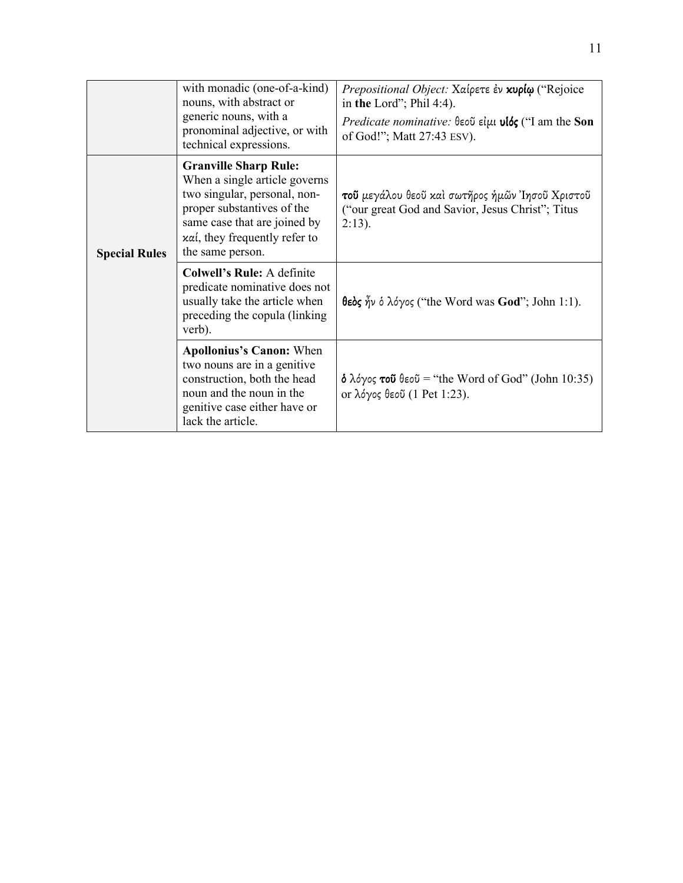|                      | with monadic (one-of-a-kind)<br>nouns, with abstract or<br>generic nouns, with a<br>pronominal adjective, or with<br>technical expressions.                                                                               | Prepositional Object: Χαίρετε έν κυρίω ("Rejoice<br>in the Lord"; Phil 4:4).<br><i>Predicate nominative:</i> $\theta \in \partial \mathcal{U}$ if $\mu \in \partial \mathcal{U}$ am the Son<br>of God!"; Matt 27:43 ESV). |
|----------------------|---------------------------------------------------------------------------------------------------------------------------------------------------------------------------------------------------------------------------|---------------------------------------------------------------------------------------------------------------------------------------------------------------------------------------------------------------------------|
| <b>Special Rules</b> | <b>Granville Sharp Rule:</b><br>When a single article governs<br>two singular, personal, non-<br>proper substantives of the<br>same case that are joined by<br>$x\alpha i$ , they frequently refer to<br>the same person. | τοῦ μεγάλου θεοῦ καὶ σωτῆρος ἡμῶν Ἰησοῦ Χριστοῦ<br>("our great God and Savior, Jesus Christ"; Titus<br>$2:13$ ).                                                                                                          |
|                      | <b>Colwell's Rule: A definite</b><br>predicate nominative does not<br>usually take the article when<br>preceding the copula (linking)<br>verb).                                                                           | <b>θεός</b> ἦν ὁ λόγος ("the Word was <b>God</b> "; John 1:1).                                                                                                                                                            |
|                      | <b>Apollonius's Canon: When</b><br>two nouns are in a genitive<br>construction, both the head<br>noun and the noun in the<br>genitive case either have or<br>lack the article.                                            | <b>δ</b> λόγος <b>τοῦ</b> θεοῦ = "the Word of God" (John 10:35)<br>or λόγος θεοῦ (1 Pet 1:23).                                                                                                                            |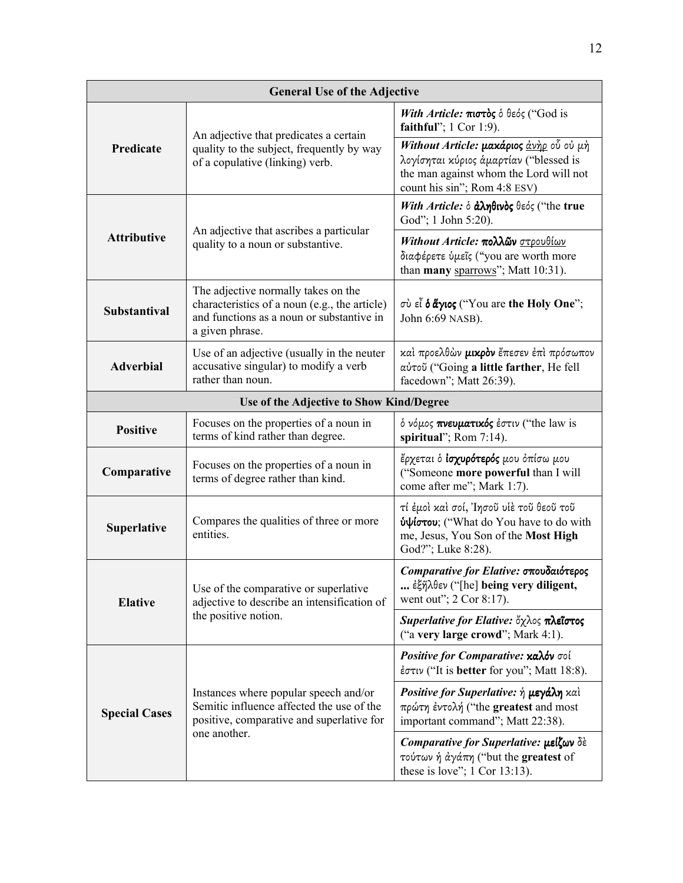| <b>General Use of the Adjective</b>                                        |                                                                                                                                                      |                                                                                                                                                                    |  |  |
|----------------------------------------------------------------------------|------------------------------------------------------------------------------------------------------------------------------------------------------|--------------------------------------------------------------------------------------------------------------------------------------------------------------------|--|--|
| Predicate                                                                  | An adjective that predicates a certain                                                                                                               | With Article: $\pi$ ιστός ό θεός ("God is<br>faithful"; 1 Cor 1:9).                                                                                                |  |  |
|                                                                            | quality to the subject, frequently by way<br>of a copulative (linking) verb.                                                                         | Without Article: μακάριος <u>άνηρ</u> οὖ οὐ μη<br>λογίσηται κύριος άμαρτίαν ("blessed is<br>the man against whom the Lord will not<br>count his sin"; Rom 4:8 ESV) |  |  |
|                                                                            |                                                                                                                                                      | With Article: δ άληθινός θεός ("the true<br>God"; 1 John 5:20).                                                                                                    |  |  |
| <b>Attributive</b>                                                         | An adjective that ascribes a particular<br>quality to a noun or substantive.                                                                         | Without Article: πολλῶν στρουθίων<br>διαφέρετε ύμεῖς ("you are worth more<br>than many sparrows"; Matt 10:31).                                                     |  |  |
| <b>Substantival</b>                                                        | The adjective normally takes on the<br>characteristics of a noun (e.g., the article)<br>and functions as a noun or substantive in<br>a given phrase. | σύ εἶ <b>ό ἅγιος</b> ("You are the Holy One";<br>John 6:69 NASB).                                                                                                  |  |  |
| <b>Adverbial</b>                                                           | Use of an adjective (usually in the neuter<br>accusative singular) to modify a verb<br>rather than noun.                                             | καὶ προελθὼν <b>μικρὸν</b> ἔπεσεν ἐπὶ πρόσωπον<br>αύτοῦ ("Going a little farther, He fell<br>facedown"; Matt 26:39).                                               |  |  |
| Use of the Adjective to Show Kind/Degree                                   |                                                                                                                                                      |                                                                                                                                                                    |  |  |
| <b>Positive</b>                                                            | Focuses on the properties of a noun in<br>terms of kind rather than degree.                                                                          | ό νόμος πνευματικός έστιν ("the law is<br>spiritual"; Rom 7:14).                                                                                                   |  |  |
| Comparative                                                                | Focuses on the properties of a noun in<br>terms of degree rather than kind.                                                                          | έρχεται ό <b>ίσχυρότερός</b> μου όπίσω μου<br>("Someone more powerful than I will<br>come after me"; Mark 1:7).                                                    |  |  |
| Compares the qualities of three or more<br><b>Superlative</b><br>entities. |                                                                                                                                                      | τί έμοὶ καὶ σοί, Ἰησοῦ υἱὲ τοῦ θεοῦ τοῦ<br>ύψίστου; ("What do You have to do with<br>me, Jesus, You Son of the Most High<br>God?"; Luke 8:28).                     |  |  |
| <b>Elative</b>                                                             | Use of the comparative or superlative<br>adjective to describe an intensification of                                                                 | Comparative for Elative: σπουδαιότερος<br>έξῆλθεν ("[he] being very diligent,<br>went out"; 2 Cor 8:17).                                                           |  |  |
|                                                                            | the positive notion.                                                                                                                                 | Superlative for Elative: ὄχλος πλεΐστος<br>("a very large crowd"; Mark 4:1).                                                                                       |  |  |
| <b>Special Cases</b>                                                       |                                                                                                                                                      | Positive for Comparative: καλόν σοί<br>έστιν ("It is better for you"; Matt 18:8).                                                                                  |  |  |
|                                                                            | Instances where popular speech and/or<br>Semitic influence affected the use of the<br>positive, comparative and superlative for                      | Positive for Superlative: ή μεγάλη και<br>πρώτη έντολή ("the greatest and most<br>important command"; Matt 22:38).                                                 |  |  |
|                                                                            | one another.                                                                                                                                         | Comparative for Superlative: μείζων δε<br>τούτων ή άγάπη ("but the greatest of<br>these is love"; $1$ Cor 13:13).                                                  |  |  |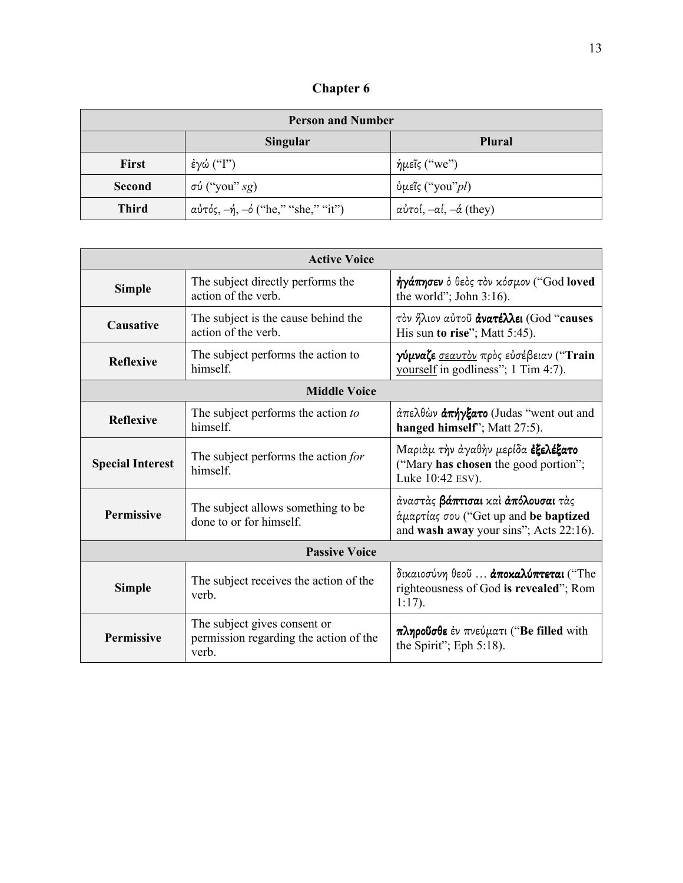| <b>Chapter 6</b> |  |
|------------------|--|
|------------------|--|

| <b>Person and Number</b> |                                              |                                            |  |
|--------------------------|----------------------------------------------|--------------------------------------------|--|
|                          | <b>Singular</b><br><b>Plural</b>             |                                            |  |
| <b>First</b>             | έγώ ("Γ")                                    | ήμεῖς ("we")                               |  |
| Second                   | $\sigma\acute{v}$ ("you" sg)                 | ύμεῖς ("you" <i>pl</i> )                   |  |
| <b>Third</b>             | αὐτός, $-\eta$ , $-\phi$ ("he," "she," "it") | αὐτοί, $-\alpha$ ί, $-\dot{\alpha}$ (they) |  |

| <b>Active Voice</b>                                                                |                                                                                 |                                                                                                                       |  |
|------------------------------------------------------------------------------------|---------------------------------------------------------------------------------|-----------------------------------------------------------------------------------------------------------------------|--|
| <b>Simple</b>                                                                      | The subject directly performs the<br>action of the verb.                        | ήγάπησεν ό θεός τον κόσμον ("God loved<br>the world"; John $3:16$ ).                                                  |  |
| Causative                                                                          | The subject is the cause behind the<br>action of the verb.                      | τον ήλιον αύτου άνατέλλει (God "causes<br>His sun to rise"; Matt 5:45).                                               |  |
| <b>Reflexive</b>                                                                   | The subject performs the action to<br>himself.                                  | γύμναζε σεαυτόν πρός εὐσέβειαν ("Train<br>yourself in godliness"; 1 Tim 4:7).                                         |  |
|                                                                                    | <b>Middle Voice</b>                                                             |                                                                                                                       |  |
| <b>Reflexive</b>                                                                   | The subject performs the action to<br>himself.                                  | άπελθών <b>άπήγξατο</b> (Judas "went out and<br>hanged himself"; Matt 27:5).                                          |  |
| <b>Special Interest</b>                                                            | The subject performs the action for<br>himself.                                 | Μαριάμ την άγαθην μερίδα έξελέξατο<br>("Mary has chosen the good portion";<br>Luke 10:42 ESV).                        |  |
| The subject allows something to be<br><b>Permissive</b><br>done to or for himself. |                                                                                 | άναστάς βάπτισαι καί άπόλουσαι τάς<br>άμαρτίας σου ("Get up and be baptized<br>and wash away your sins"; Acts 22:16). |  |
| <b>Passive Voice</b>                                                               |                                                                                 |                                                                                                                       |  |
| <b>Simple</b>                                                                      | The subject receives the action of the<br>verb.                                 | δικαιοσύνη θεού  άποκαλύπτεται ("The<br>righteousness of God is revealed"; Rom<br>$1:17$ ).                           |  |
| <b>Permissive</b>                                                                  | The subject gives consent or<br>permission regarding the action of the<br>verb. | $\pi\lambda$ ηροῦσθε ἐν πνεύματι ("Be filled with<br>the Spirit"; Eph 5:18).                                          |  |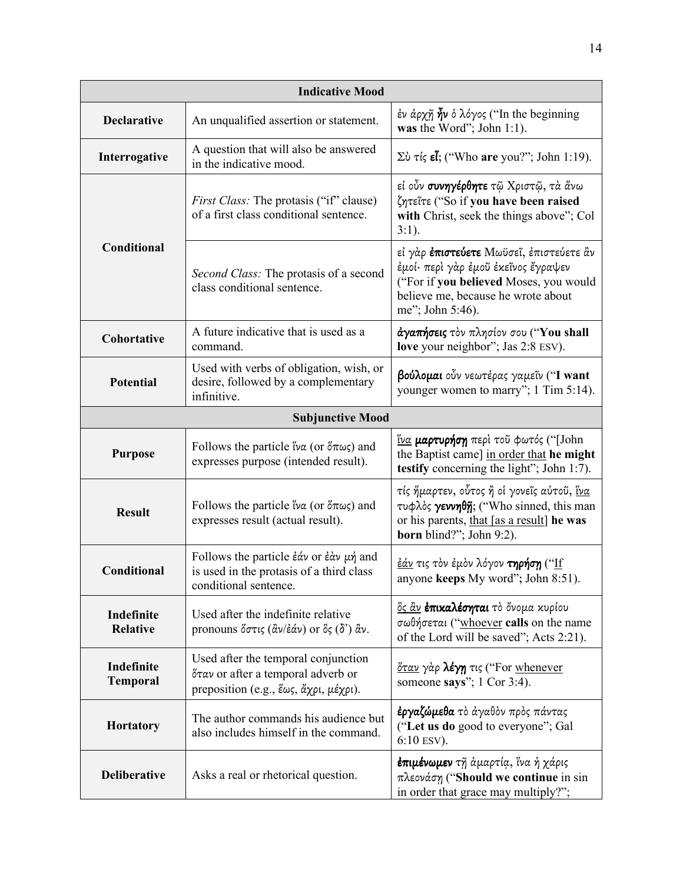| <b>Indicative Mood</b>                                                                                            |                                                                                                                                                                            |                                                                                                                                                                                           |  |
|-------------------------------------------------------------------------------------------------------------------|----------------------------------------------------------------------------------------------------------------------------------------------------------------------------|-------------------------------------------------------------------------------------------------------------------------------------------------------------------------------------------|--|
| <b>Declarative</b>                                                                                                | An unqualified assertion or statement.                                                                                                                                     | έν άρχῆ <b>ἦν</b> ὁ λόγος ("In the beginning<br>was the Word"; John $1:1$ ).                                                                                                              |  |
| Interrogative                                                                                                     | A question that will also be answered<br>Σὺ τίς εἶ; ("Who are you?"; John 1:19).<br>in the indicative mood.                                                                |                                                                                                                                                                                           |  |
|                                                                                                                   | <i>First Class:</i> The protasis ("if" clause)<br>of a first class conditional sentence.                                                                                   | εί οὖν <b>συνηγέρθητε</b> τῷ Χριστῷ, τὰ ἄνω<br>ζητεΐτε ("So if you have been raised<br>with Christ, seek the things above"; Col<br>$3:1$ ).                                               |  |
| Conditional                                                                                                       | Second Class: The protasis of a second<br>class conditional sentence.                                                                                                      | εί γάρ <b>έπιστεύετε</b> Μωϋσεῖ, έπιστεύετε ἂν<br>έμοί· περὶ γὰρ ἐμοῦ ἐκεῖνος ἔγραψεν<br>("For if you believed Moses, you would<br>believe me, because he wrote about<br>me"; John 5:46). |  |
| Cohortative                                                                                                       | A future indicative that is used as a<br>command.                                                                                                                          | άγαπήσεις τον πλησίον σου ("You shall<br>love your neighbor"; Jas 2:8 ESV).                                                                                                               |  |
| Used with verbs of obligation, wish, or<br><b>Potential</b><br>desire, followed by a complementary<br>infinitive. |                                                                                                                                                                            | βούλομαι οὖν νεωτέρας γαμεΐν ("I want<br>younger women to marry"; 1 Tim 5:14).                                                                                                            |  |
|                                                                                                                   | <b>Subjunctive Mood</b>                                                                                                                                                    |                                                                                                                                                                                           |  |
| <b>Purpose</b>                                                                                                    | Follows the particle $\beta \alpha$ (or $\delta \pi \omega \zeta$ ) and<br>expresses purpose (intended result).                                                            | ίνα μαρτυρήση περί του φωτός ("[John<br>the Baptist came] in order that he might<br>testify concerning the light"; John 1:7).                                                             |  |
| <b>Result</b>                                                                                                     | Follows the particle $\beta \alpha$ (or $\delta \pi \omega \zeta$ ) and<br>expresses result (actual result).                                                               | τίς ήμαρτεν, οὗτος ἠ οἱ γονεῖς αὐτοῦ, <u>ἵνα</u><br>τυφλός γεννηθη; ("Who sinned, this man<br>or his parents, that [as a result] he was<br>born blind?"; John 9:2).                       |  |
| Conditional                                                                                                       | Follows the particle $\dot{\epsilon}\dot{\alpha}$ or $\dot{\epsilon}\dot{\alpha}$ $\mu\dot{\eta}$ and<br>is used in the protasis of a third class<br>conditional sentence. | <u>ἐάν</u> τις τὸν ἐμὸν λόγον <b>τηρήση</b> (" <u>Ιf</u><br>anyone keeps My word"; John 8:51).                                                                                            |  |
| Indefinite<br><b>Relative</b>                                                                                     | Used after the indefinite relative<br>pronouns ὄστις (ἀν/ἐάν) or ὃς (δ') ἀν.                                                                                               | <u>ὃς ἂν</u> <b>ἐπικαλέσηται</b> τὸ ὄνομα κυρίου<br>σωθήσεται ("whoever calls on the name<br>of the Lord will be saved"; Acts 2:21).                                                      |  |
| Indefinite<br><b>Temporal</b>                                                                                     | Used after the temporal conjunction<br>όταν or after a temporal adverb or<br>preposition (e.g., ἕως, ἄχρι, μέχρι).                                                         | <u>όταν</u> γάρ λέγη τις ("For whenever<br>someone says"; $1$ Cor 3:4).                                                                                                                   |  |
| <b>Hortatory</b>                                                                                                  | The author commands his audience but<br>also includes himself in the command.                                                                                              | <b>έργαζώμεθα</b> τὸ ἀγαθὸν πρὸς πάντας<br>("Let us do good to everyone"; Gal<br>$6:10$ ESV).                                                                                             |  |
| <b>Deliberative</b>                                                                                               | Asks a real or rhetorical question.                                                                                                                                        | <b>ἐπιμένωμεν</b> τῆ ἁμαρτία, ἵνα ἡ χάρις<br>πλεονάση ("Should we continue in sin<br>in order that grace may multiply?";                                                                  |  |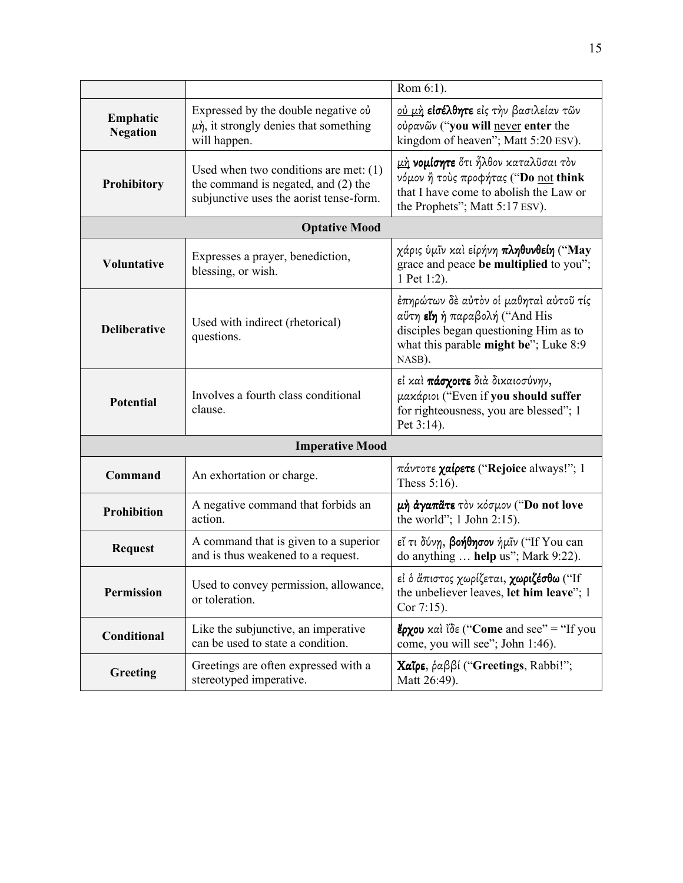|                                                                                                                                            |                                                                                                               | Rom 6:1).                                                                                                                                                           |  |  |
|--------------------------------------------------------------------------------------------------------------------------------------------|---------------------------------------------------------------------------------------------------------------|---------------------------------------------------------------------------------------------------------------------------------------------------------------------|--|--|
| Emphatic<br><b>Negation</b>                                                                                                                | Expressed by the double negative ov<br>$\mu$ $\dot{\eta}$ , it strongly denies that something<br>will happen. | <u>ού μή</u> είσέλθητε είς την βασιλείαν τῶν<br>ούρανῶν ("you will never enter the<br>kingdom of heaven"; Matt 5:20 ESV).                                           |  |  |
| Used when two conditions are met: $(1)$<br>the command is negated, and $(2)$ the<br>Prohibitory<br>subjunctive uses the aorist tense-form. |                                                                                                               | μή <b>νομίσητε</b> ότι ἦλθον καταλῦσαι τὸν<br>νόμον ή τούς προφήτας ("Do not think<br>that I have come to abolish the Law or<br>the Prophets"; Matt 5:17 ESV).      |  |  |
|                                                                                                                                            | <b>Optative Mood</b>                                                                                          |                                                                                                                                                                     |  |  |
| <b>Voluntative</b>                                                                                                                         | Expresses a prayer, benediction,<br>blessing, or wish.                                                        | χάρις ύμῖν καὶ εἰρήνη πληθυνθείη ("May<br>grace and peace be multiplied to you";<br>1 Pet 1:2).                                                                     |  |  |
| <b>Deliberative</b>                                                                                                                        | Used with indirect (rhetorical)<br>questions.                                                                 | έπηρώτων δε αύτον οί μαθηταί αύτοῦ τίς<br>αύτη είη ή παραβολή ("And His<br>disciples began questioning Him as to<br>what this parable might be"; Luke 8:9<br>NASB). |  |  |
| Involves a fourth class conditional<br><b>Potential</b><br>clause.                                                                         |                                                                                                               | εί και πάσχοιτε διά δικαιοσύνην,<br>μακάριοι ("Even if you should suffer<br>for righteousness, you are blessed"; 1<br>Pet 3:14).                                    |  |  |
| <b>Imperative Mood</b>                                                                                                                     |                                                                                                               |                                                                                                                                                                     |  |  |
| Command                                                                                                                                    | An exhortation or charge.                                                                                     | $\pi$ áντοτε <b>χαίρετε</b> ("Rejoice always!"; 1<br>Thess $5:16$ ).                                                                                                |  |  |
| A negative command that forbids an<br><b>Prohibition</b><br>action.                                                                        |                                                                                                               | μή άγαπάτε τον κόσμον ("Do not love<br>the world"; $1$ John 2:15).                                                                                                  |  |  |
| A command that is given to a superior<br><b>Request</b><br>and is thus weakened to a request.                                              |                                                                                                               | εί τι δύνη, βοήθησον ήμῖν ("If You can<br>do anything  help us"; Mark 9:22).                                                                                        |  |  |
| Used to convey permission, allowance,<br><b>Permission</b><br>or toleration.<br>Cor $7:15$ ).                                              |                                                                                                               | εί ο άπιστος χωρίζεται, χωριζέσθω ("If<br>the unbeliever leaves, let him leave"; 1                                                                                  |  |  |
| Conditional                                                                                                                                | Like the subjunctive, an imperative<br>can be used to state a condition.                                      | <b>ἔρχου</b> καὶ ἴδε ("Come and see" = "If you<br>come, you will see"; John 1:46).                                                                                  |  |  |
| Greeting                                                                                                                                   | Greetings are often expressed with a<br>stereotyped imperative.                                               | <b>Χαΐρε</b> , ραββί ("Greetings, Rabbi!";<br>Matt 26:49).                                                                                                          |  |  |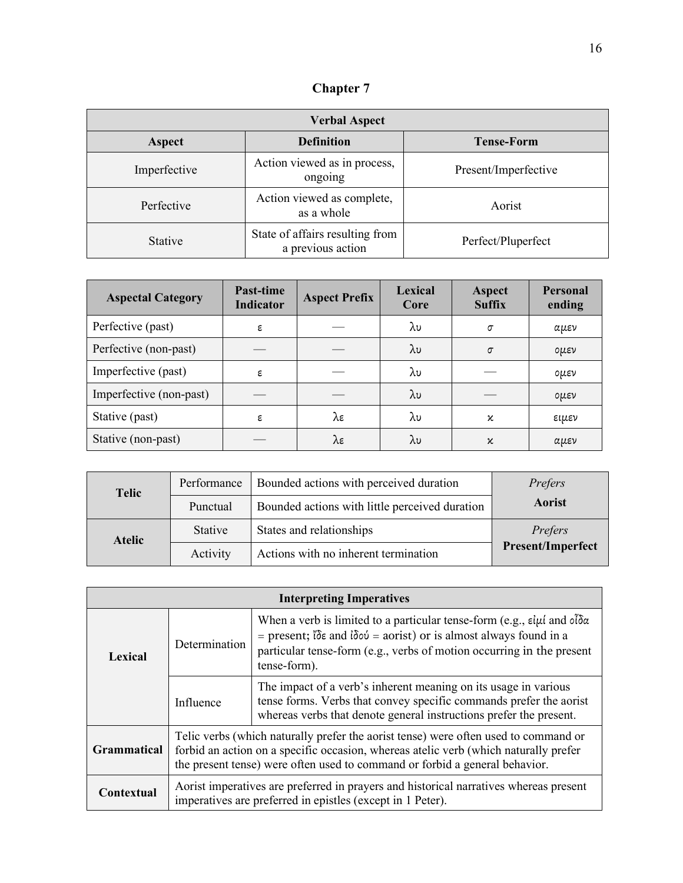**Chapter 7** 

| <b>Verbal Aspect</b> |                                                      |                      |  |
|----------------------|------------------------------------------------------|----------------------|--|
| Aspect               | <b>Definition</b>                                    | <b>Tense-Form</b>    |  |
| Imperfective         | Action viewed as in process,<br>ongoing              | Present/Imperfective |  |
| Perfective           | Action viewed as complete,<br>as a whole             | Aorist               |  |
| <b>Stative</b>       | State of affairs resulting from<br>a previous action | Perfect/Pluperfect   |  |

| <b>Aspectal Category</b> | Past-time<br><b>Indicator</b> | <b>Aspect Prefix</b> | Lexical<br>Core | Aspect<br><b>Suffix</b> | <b>Personal</b><br>ending |
|--------------------------|-------------------------------|----------------------|-----------------|-------------------------|---------------------------|
| Perfective (past)        | ε                             |                      | λυ              | σ                       | αμεν                      |
| Perfective (non-past)    |                               |                      | λυ              | $\sigma$                | $0\mu\epsilon\nu$         |
| Imperfective (past)      | ε                             |                      | λυ              |                         | ομεν                      |
| Imperfective (non-past)  |                               |                      | λυ              |                         | ομεν                      |
| Stative (past)           | ε                             | λε                   | λυ              | κ                       | ειμεν                     |
| Stative (non-past)       |                               | λε                   | λυ              | κ                       | αμεν                      |

| <b>Telic</b>  | Performance | Bounded actions with perceived duration        | Prefers                  |
|---------------|-------------|------------------------------------------------|--------------------------|
|               | Punctual    | Bounded actions with little perceived duration | Aorist                   |
| <b>Atelic</b> | Stative     | States and relationships                       | Prefers                  |
|               | Activity    | Actions with no inherent termination           | <b>Present/Imperfect</b> |

| <b>Interpreting Imperatives</b> |                                                                                                                                                                                                                                                            |                                                                                                                                                                                                                                                                                            |  |
|---------------------------------|------------------------------------------------------------------------------------------------------------------------------------------------------------------------------------------------------------------------------------------------------------|--------------------------------------------------------------------------------------------------------------------------------------------------------------------------------------------------------------------------------------------------------------------------------------------|--|
| Determination<br>Lexical        |                                                                                                                                                                                                                                                            | When a verb is limited to a particular tense-form (e.g., $\varepsilon \mu i$ and $\delta \delta \alpha$<br>= present; $\partial \xi$ and $\partial \phi$ = aorist) or is almost always found in a<br>particular tense-form (e.g., verbs of motion occurring in the present<br>tense-form). |  |
|                                 | Influence                                                                                                                                                                                                                                                  | The impact of a verb's inherent meaning on its usage in various<br>tense forms. Verbs that convey specific commands prefer the aorist<br>whereas verbs that denote general instructions prefer the present.                                                                                |  |
| Grammatical                     | Telic verbs (which naturally prefer the aorist tense) were often used to command or<br>forbid an action on a specific occasion, whereas atelic verb (which naturally prefer<br>the present tense) were often used to command or forbid a general behavior. |                                                                                                                                                                                                                                                                                            |  |
| Contextual                      | Aorist imperatives are preferred in prayers and historical narratives whereas present<br>imperatives are preferred in epistles (except in 1 Peter).                                                                                                        |                                                                                                                                                                                                                                                                                            |  |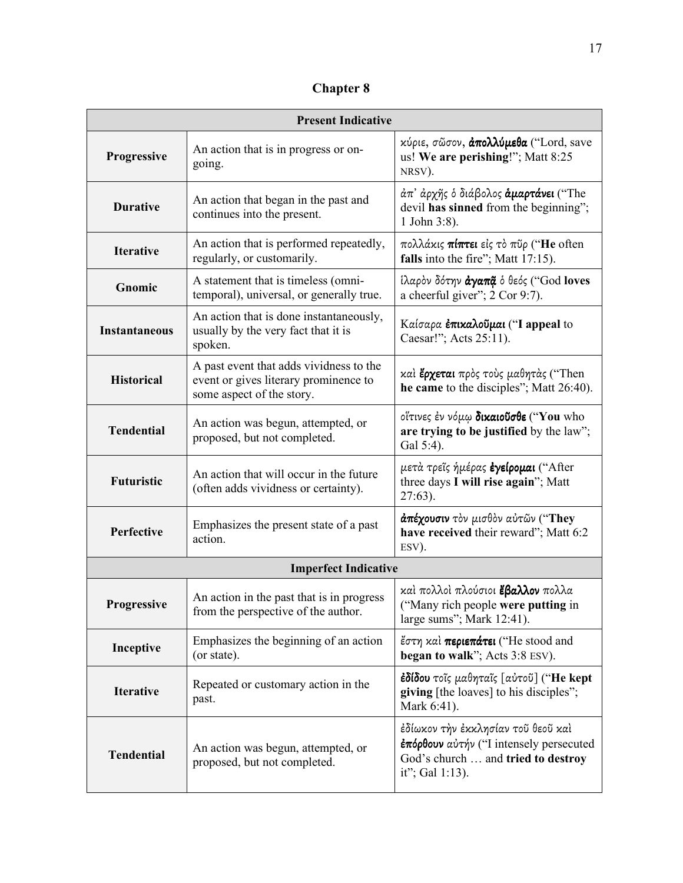**Chapter 8** 

| <b>Present Indicative</b> |                                                                                                               |                                                                                                                                        |  |  |
|---------------------------|---------------------------------------------------------------------------------------------------------------|----------------------------------------------------------------------------------------------------------------------------------------|--|--|
| <b>Progressive</b>        | An action that is in progress or on-<br>going.                                                                | κύριε, σῶσον, άπολλύμεθα ("Lord, save<br>us! We are perishing!"; Matt 8:25<br>NRSV).                                                   |  |  |
| <b>Durative</b>           | An action that began in the past and<br>continues into the present.                                           | άπ' άρχῆς ὁ διάβολος <b>άμαρτάνει</b> ("The<br>devil has sinned from the beginning";<br>1 John 3:8).                                   |  |  |
| <b>Iterative</b>          | An action that is performed repeatedly,<br>regularly, or customarily.                                         | πολλάκις <b>πίπτει</b> εἰς τὸ πῦρ (" <b>He</b> often<br>falls into the fire"; Matt 17:15).                                             |  |  |
| Gnomic                    | A statement that is timeless (omni-<br>temporal), universal, or generally true.                               | ίλαρὸν δότην άγαπậ ο θεός ("God loves<br>a cheerful giver"; 2 Cor 9:7).                                                                |  |  |
| <b>Instantaneous</b>      | An action that is done instantaneously,<br>usually by the very fact that it is<br>spoken.                     | Καίσαρα <b>έπικαλοῦμαι</b> ("I appeal to<br>Caesar!"; Acts 25:11).                                                                     |  |  |
| <b>Historical</b>         | A past event that adds vividness to the<br>event or gives literary prominence to<br>some aspect of the story. | καὶ <b>ἔρχεται</b> πρὸς τοὺς μαθητὰς ("Then<br>he came to the disciples"; Matt 26:40).                                                 |  |  |
| <b>Tendential</b>         | An action was begun, attempted, or<br>proposed, but not completed.                                            | οΐτινες έν νόμω δικαιούσθε ("You who<br>are trying to be justified by the law";<br>Gal 5:4).                                           |  |  |
| <b>Futuristic</b>         | An action that will occur in the future<br>(often adds vividness or certainty).                               | μετὰ τρεῖς ἡμέρας <b>ἐγείρομαι</b> ("After<br>three days I will rise again"; Matt<br>$27:63$ ).                                        |  |  |
| Perfective                | Emphasizes the present state of a past<br>action.                                                             | άπέχουσιν τὸν μισθὸν αὐτῶν ("They<br>have received their reward"; Matt 6:2<br>ESV).                                                    |  |  |
|                           | <b>Imperfect Indicative</b>                                                                                   |                                                                                                                                        |  |  |
| <b>Progressive</b>        | An action in the past that is in progress<br>from the perspective of the author.                              | καὶ πολλοὶ πλούσιοι <b>ἔβαλλον</b> πολλα<br>("Many rich people were putting in<br>large sums"; Mark 12:41).                            |  |  |
| Inceptive                 | Emphasizes the beginning of an action<br>(or state).                                                          | έστη καί περιεπάτει ("He stood and<br>began to walk"; Acts 3:8 ESV).                                                                   |  |  |
| <b>Iterative</b>          | Repeated or customary action in the<br>past.                                                                  | έδίδου τοῖς μαθηταῖς [αὐτοῦ] ("He kept<br>giving [the loaves] to his disciples";<br>Mark 6:41).                                        |  |  |
| <b>Tendential</b>         | An action was begun, attempted, or<br>proposed, but not completed.                                            | ἐδίωκον τὴν ἐκκλησίαν τοῦ θεοῦ καὶ<br>επόρθουν αύτήν ("I intensely persecuted<br>God's church  and tried to destroy<br>it"; Gal 1:13). |  |  |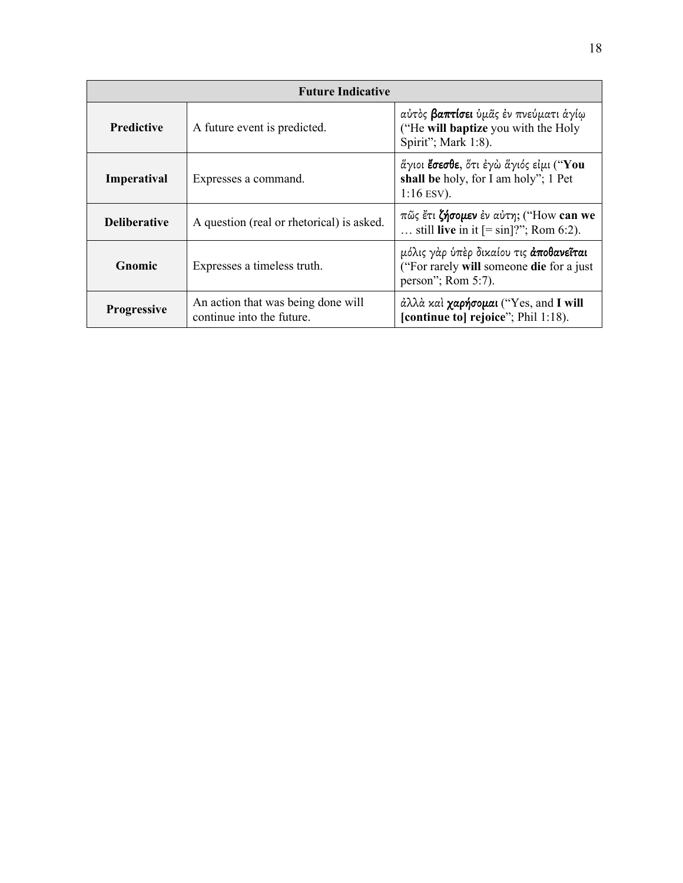| <b>Future Indicative</b> |                                                                 |                                                                                                                    |  |
|--------------------------|-----------------------------------------------------------------|--------------------------------------------------------------------------------------------------------------------|--|
| <b>Predictive</b>        | A future event is predicted.                                    | αύτὸς <b>βαπτίσει</b> ὑμᾶς ἐν πνεύματι ἁγίῳ<br>("He will baptize you with the Holy<br>Spirit"; Mark 1:8).          |  |
| Imperatival              | Expresses a command.                                            | άγιοι <b>ἔσεσθε</b> , ὅτι ἐγὼ ἅγιός εἰμι (" <b>You</b><br>shall be holy, for I am holy"; 1 Pet<br>$1:16$ ESV).     |  |
| <b>Deliberative</b>      | A question (real or rhetorical) is asked.                       | πῶς ἔτι ζήσομεν έν αύτη; ("How can we<br>still live in it $[=\sin]$ ?"; Rom 6:2).                                  |  |
| Gnomic                   | Expresses a timeless truth.                                     | μόλις γὰρ ὑπὲρ δικαίου τις <b>ἀποθανεῖται</b><br>("For rarely will someone die for a just<br>person"; Rom $5:7$ ). |  |
| <b>Progressive</b>       | An action that was being done will<br>continue into the future. | $\partial \lambda \lambda \partial \alpha$ και χαρήσομαι ("Yes, and I will<br>[continue to] rejoice"; Phil 1:18).  |  |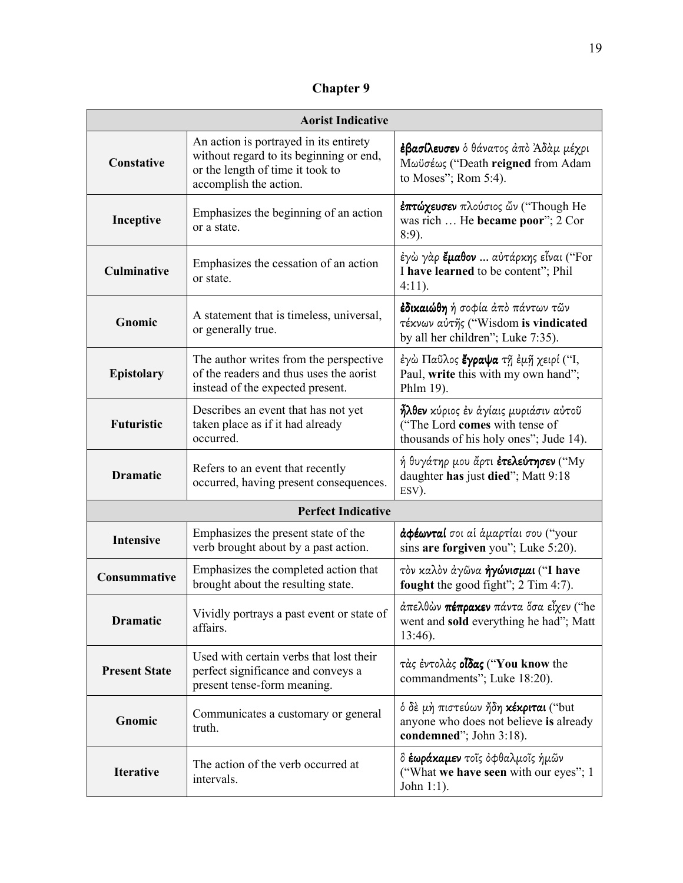**Chapter 9** 

| <b>Aorist Indicative</b> |                                                                                                                                                 |                                                                                                                          |  |  |
|--------------------------|-------------------------------------------------------------------------------------------------------------------------------------------------|--------------------------------------------------------------------------------------------------------------------------|--|--|
| Constative               | An action is portrayed in its entirety<br>without regard to its beginning or end,<br>or the length of time it took to<br>accomplish the action. | <b>ἐβασίλευσεν</b> ὁ θάνατος ἀπὸ Ἀδὰμ μέχρι<br>Μωϋσέως ("Death reigned from Adam<br>to Moses"; Rom 5:4).                 |  |  |
| Inceptive                | Emphasizes the beginning of an action<br>or a state.                                                                                            | επτώχευσεν πλούσιος ὤν ("Though He<br>was rich  He became poor"; 2 Cor<br>8:9).                                          |  |  |
| <b>Culminative</b>       | Emphasizes the cessation of an action<br>or state.                                                                                              | έγὼ γὰρ <b>ἔμαθον</b> αὐτάρκης εἶναι ("For<br>I have learned to be content"; Phil<br>$4:11$ ).                           |  |  |
| Gnomic                   | A statement that is timeless, universal,<br>or generally true.                                                                                  | <b>ἐδικαιώθη</b> ή σοφία ἀπὸ πάντων τῶν<br>τέκνων αύτης ("Wisdom is vindicated<br>by all her children"; Luke 7:35).      |  |  |
| <b>Epistolary</b>        | The author writes from the perspective<br>of the readers and thus uses the aorist<br>instead of the expected present.                           | έγὼ Παῦλος <b>ἔγραψα</b> τῆ ἐμῆ χειρί ("Ι,<br>Paul, write this with my own hand";<br>Phlm 19).                           |  |  |
| <b>Futuristic</b>        | Describes an event that has not yet<br>taken place as if it had already<br>occurred.                                                            | <b>ἦλθεν</b> κύριος ἐν ἁγίαις μυριάσιν αὐτοῦ<br>("The Lord comes with tense of<br>thousands of his holy ones"; Jude 14). |  |  |
| <b>Dramatic</b>          | Refers to an event that recently<br>occurred, having present consequences.                                                                      | ή θυγάτηρ μου ἄρτι <b>ἐτελεύτησεν</b> ("My<br>daughter has just died"; Matt 9:18<br>ESV).                                |  |  |
|                          | <b>Perfect Indicative</b>                                                                                                                       |                                                                                                                          |  |  |
| <b>Intensive</b>         | Emphasizes the present state of the<br>verb brought about by a past action.                                                                     | άφέωνταί σοι αί άμαρτίαι σου ("your<br>sins are forgiven you"; Luke 5:20).                                               |  |  |
| Consummative             | Emphasizes the completed action that<br>brought about the resulting state.                                                                      | τον καλον άγῶνα ήγώνισμαι ("I have<br>fought the good fight"; 2 Tim 4:7).                                                |  |  |
| <b>Dramatic</b>          | Vividly portrays a past event or state of<br>affairs.                                                                                           | άπελθών πέπρακεν πάντα όσα εἶχεν ("he<br>went and sold everything he had"; Matt<br>$13:46$ ).                            |  |  |
| <b>Present State</b>     | Used with certain verbs that lost their<br>perfect significance and conveys a<br>present tense-form meaning.                                    | τάς έντολάς οίδας ("You know the<br>commandments"; Luke 18:20).                                                          |  |  |
| Gnomic                   | Communicates a customary or general<br>truth.                                                                                                   | ό δέ μή πιστεύων ήδη κέκριται ("but<br>anyone who does not believe is already<br>condemned"; John 3:18).                 |  |  |
| <b>Iterative</b>         | The action of the verb occurred at<br>intervals.                                                                                                | δ <b>έωράκαμεν</b> τοῖς ὀφθαλμοῖς ἡμῶν<br>("What we have seen with our eyes"; 1<br>John $1:1$ ).                         |  |  |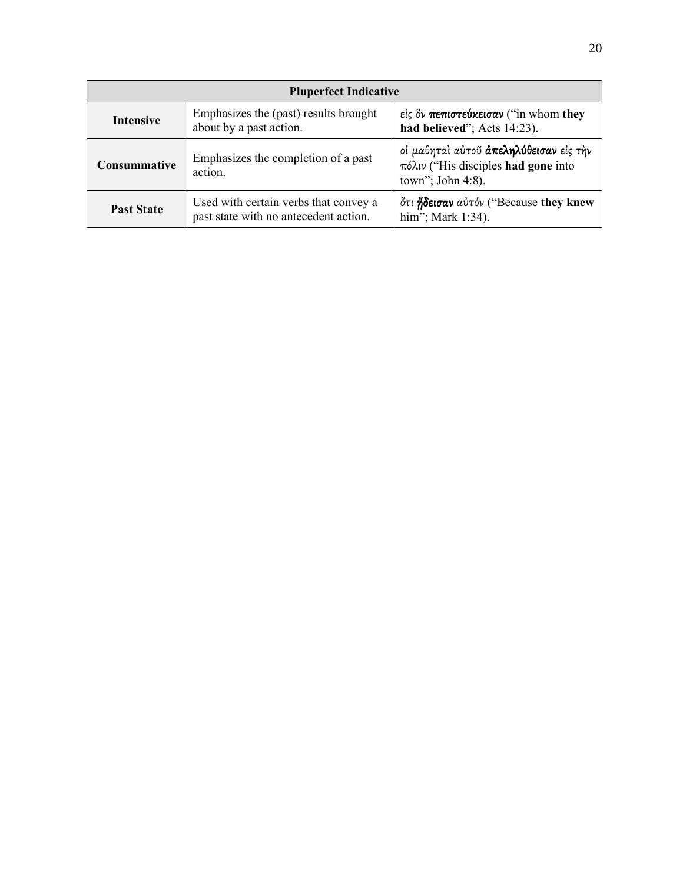| <b>Pluperfect Indicative</b>                                                                                        |                                                                                |                                                                                                                    |  |
|---------------------------------------------------------------------------------------------------------------------|--------------------------------------------------------------------------------|--------------------------------------------------------------------------------------------------------------------|--|
| Emphasizes the (past) results brought<br><b>Intensive</b><br>about by a past action.<br>had believed"; Acts 14:23). |                                                                                | είς δν πεπιστεύκεισαν ("in whom they                                                                               |  |
| Consummative                                                                                                        | Emphasizes the completion of a past<br>action.                                 | οί μαθηταί αύτοῦ <b>ἀπεληλύθεισαν</b> είς τὴν<br>$πόλιν$ ("His disciples <b>had gone</b> into<br>town"; John 4:8). |  |
| <b>Past State</b>                                                                                                   | Used with certain verbs that convey a<br>past state with no antecedent action. | ότι ήδεισαν αύτόν ("Because they knew<br>him"; Mark 1:34).                                                         |  |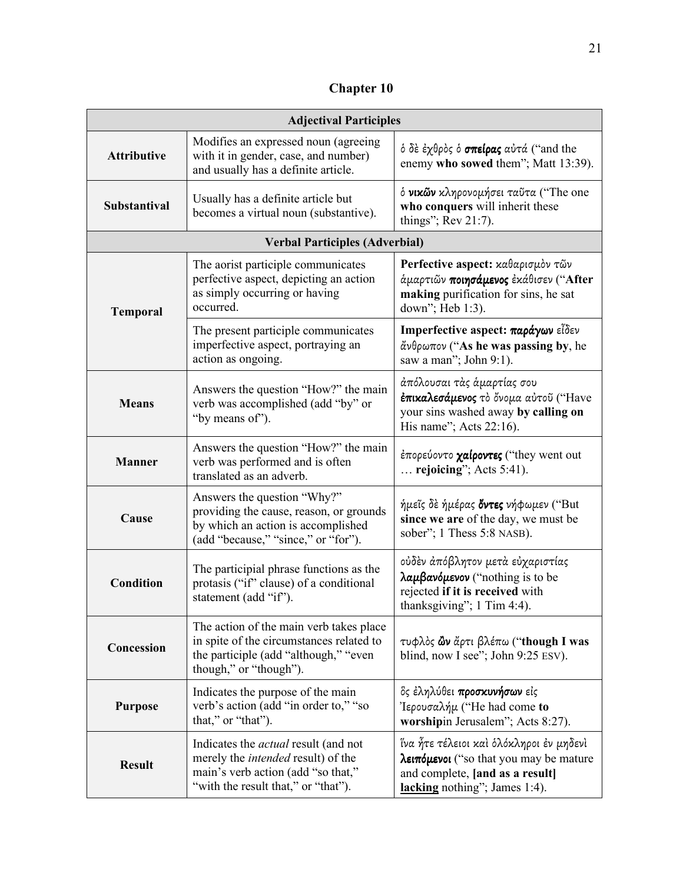**Chapter 10** 

| <b>Adjectival Participles</b> |                                                                                                                                                                       |                                                                                                                                                       |  |
|-------------------------------|-----------------------------------------------------------------------------------------------------------------------------------------------------------------------|-------------------------------------------------------------------------------------------------------------------------------------------------------|--|
| <b>Attributive</b>            | Modifies an expressed noun (agreeing<br>with it in gender, case, and number)<br>and usually has a definite article.                                                   | ό δε έχθρος ό σπείρας αύτά ("and the<br>enemy who sowed them"; Matt 13:39).                                                                           |  |
| Substantival                  | Usually has a definite article but<br>becomes a virtual noun (substantive).                                                                                           | ό νικών κληρονομήσει ταΰτα ("The one<br>who conquers will inherit these<br>things"; Rev 21:7).                                                        |  |
|                               | <b>Verbal Participles (Adverbial)</b>                                                                                                                                 |                                                                                                                                                       |  |
| <b>Temporal</b>               | The aorist participle communicates<br>perfective aspect, depicting an action<br>as simply occurring or having<br>occurred.                                            | Perfective aspect: καθαρισμόν τῶν<br>άμαρτιῶν ποιησάμενος ἐκάθισεν ("After<br>making purification for sins, he sat<br>down"; Heb 1:3).                |  |
|                               | The present participle communicates<br>imperfective aspect, portraying an<br>action as ongoing.                                                                       | Imperfective aspect: παράγων εἶδεν<br>άνθρωπον ("As he was passing by, he<br>saw a man"; John 9:1).                                                   |  |
| <b>Means</b>                  | Answers the question "How?" the main<br>verb was accomplished (add "by" or<br>"by means of").                                                                         | άπόλουσαι τὰς ἁμαρτίας σου<br>έπικαλεσάμενος το όνομα αύτου ("Have<br>your sins washed away by calling on<br>His name"; Acts $22:16$ ).               |  |
| <b>Manner</b>                 | Answers the question "How?" the main<br>verb was performed and is often<br>translated as an adverb.                                                                   | έπορεύοντο χαίροντες ("they went out<br>$\ldots$ rejoicing"; Acts 5:41).                                                                              |  |
| Cause                         | Answers the question "Why?"<br>providing the cause, reason, or grounds<br>by which an action is accomplished<br>(add "because," "since," or "for").                   | ήμεῖς δὲ ήμέρας <b>ὄντες</b> νήφωμεν ("But<br>since we are of the day, we must be<br>sober"; 1 Thess 5:8 NASB).                                       |  |
| <b>Condition</b>              | The participial phrase functions as the<br>protasis ("if" clause) of a conditional<br>statement (add "if").                                                           | ούδὲν ἀπόβλητον μετὰ εὐχαριστίας<br>$\lambda$ aµβaνόμενον ("nothing is to be<br>rejected if it is received with<br>thanksgiving"; 1 Tim 4:4).         |  |
| Concession                    | The action of the main verb takes place<br>in spite of the circumstances related to<br>the participle (add "although," "even<br>though," or "though").                | τυφλός <b>ὢν</b> ἄρτι βλέπω ("though I was<br>blind, now I see"; John 9:25 ESV).                                                                      |  |
| <b>Purpose</b>                | Indicates the purpose of the main<br>verb's action (add "in order to," "so<br>that," or "that").                                                                      | δς έληλύθει προσκυνήσων είς<br>'Iερουσαλήμ ("He had come to<br>worshipin Jerusalem"; Acts 8:27).                                                      |  |
| <b>Result</b>                 | Indicates the <i>actual</i> result (and not<br>merely the <i>intended</i> result) of the<br>main's verb action (add "so that,"<br>"with the result that," or "that"). | ἵνα ἦτε τέλειοι καὶ ὁλόκληροι ἐν μηδενὶ<br>λειπόμενοι ("so that you may be mature<br>and complete, [and as a result]<br>lacking nothing"; James 1:4). |  |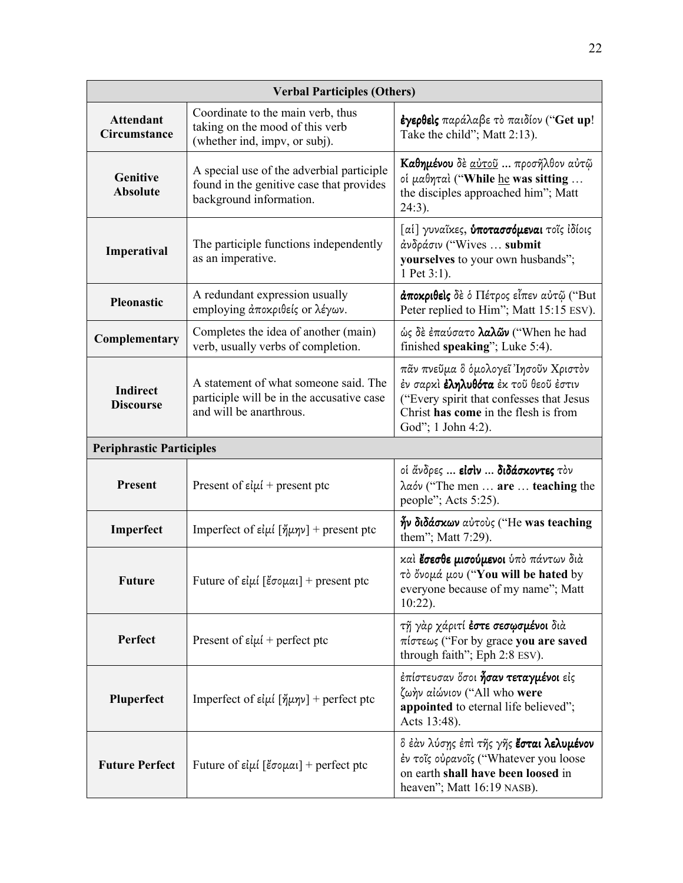| <b>Verbal Participles (Others)</b>  |                                                                                                                                                                                                                                                                                                                |                                                                                                                                                             |  |
|-------------------------------------|----------------------------------------------------------------------------------------------------------------------------------------------------------------------------------------------------------------------------------------------------------------------------------------------------------------|-------------------------------------------------------------------------------------------------------------------------------------------------------------|--|
| <b>Attendant</b><br>Circumstance    | Coordinate to the main verb, thus<br>taking on the mood of this verb<br>(whether ind, impv, or subj).                                                                                                                                                                                                          | έγερθείς παράλαβε το παιδίον ("Get up!<br>Take the child"; Matt 2:13).                                                                                      |  |
| Genitive<br><b>Absolute</b>         | A special use of the adverbial participle<br>found in the genitive case that provides<br>background information.                                                                                                                                                                                               | Καθημένου δε <u>αύτοῦ</u> προσῆλθον αὐτῷ<br>oi μαθηταί ("While he was sitting<br>the disciples approached him"; Matt<br>24:3).                              |  |
| Imperatival                         | The participle functions independently<br>as an imperative.                                                                                                                                                                                                                                                    | [ai] γυναΐκες, <b>ύποτασσόμεναι</b> τοΐς ιδίοις<br>άνδράσιν ("Wives  submit<br>yourselves to your own husbands";<br>1 Pet 3:1).                             |  |
| Pleonastic                          | A redundant expression usually<br>employing άποκριθείς or λέγων.                                                                                                                                                                                                                                               | άποκριθείς δε ο Πέτρος είπεν αύτῷ ("But<br>Peter replied to Him"; Matt 15:15 ESV).                                                                          |  |
| Complementary                       | Completes the idea of another (main)<br>verb, usually verbs of completion.                                                                                                                                                                                                                                     | ώς δε έπαύσατο λαλών ("When he had<br>finished speaking"; Luke 5:4).                                                                                        |  |
| <b>Indirect</b><br><b>Discourse</b> | πᾶν πνεῦμα ὃ ὁμολογεῖ Ἰησοῦν Χριστὸν<br>A statement of what someone said. The<br>έν σαρκί <b>έληλυθότα</b> έκ τοῦ θεοῦ ἐστιν<br>participle will be in the accusative case<br>("Every spirit that confesses that Jesus<br>and will be anarthrous.<br>Christ has come in the flesh is from<br>God"; 1 John 4:2). |                                                                                                                                                             |  |
| <b>Periphrastic Participles</b>     |                                                                                                                                                                                                                                                                                                                |                                                                                                                                                             |  |
| <b>Present</b>                      | Present of $\varepsilon \psi$ + present ptc                                                                                                                                                                                                                                                                    | οί άνδρες  είσιν  διδάσκοντες τον<br>$\lambda \alpha$ óv ("The men  are  teaching the<br>people"; Acts 5:25).                                               |  |
| Imperfect                           | Imperfect of $\varepsilon i\mu i$ [ $\eta'\mu\eta\nu$ ] + present ptc                                                                                                                                                                                                                                          | ήν διδάσκων αύτους ("He was teaching<br>them"; Matt 7:29).                                                                                                  |  |
| Future                              | Future of $\varepsilon i\mu i$ [ $\varepsilon$ σομαι] + present ptc                                                                                                                                                                                                                                            | καί έσεσθε μισούμενοι ύπό πάντων διά<br>τὸ ὄνομά μου ("You will be hated by<br>everyone because of my name"; Matt<br>$10:22$ ).                             |  |
| Perfect                             | Present of $\varepsilon \mu / 4$ perfect ptc                                                                                                                                                                                                                                                                   | τῆ γὰρ χάριτί <b>ἐστε σεσωσμένοι</b> διὰ<br>$\pi$ <i>i</i> $\sigma$ $\tau$ <i>εως</i> ("For by grace you are saved<br>through faith"; Eph 2:8 ESV).         |  |
| Pluperfect                          | Imperfect of $\epsilon i\mu i$ [ $\eta'\mu\eta\nu$ ] + perfect ptc                                                                                                                                                                                                                                             | έπίστευσαν δσοι <b>ἦσαν τεταγμένοι</b> είς<br>ζωήν αίώνιον ("All who were<br>appointed to eternal life believed";<br>Acts 13:48).                           |  |
| <b>Future Perfect</b>               | Future of $\varepsilon i\mu i$ [ $\varepsilon$ σομαι] + perfect ptc                                                                                                                                                                                                                                            | δ έὰν λύσης ἐπὶ τῆς γῆς <b>ἔσται λελυμένον</b><br>έν τοΐς ούρανοΐς ("Whatever you loose<br>on earth shall have been loosed in<br>heaven"; Matt 16:19 NASB). |  |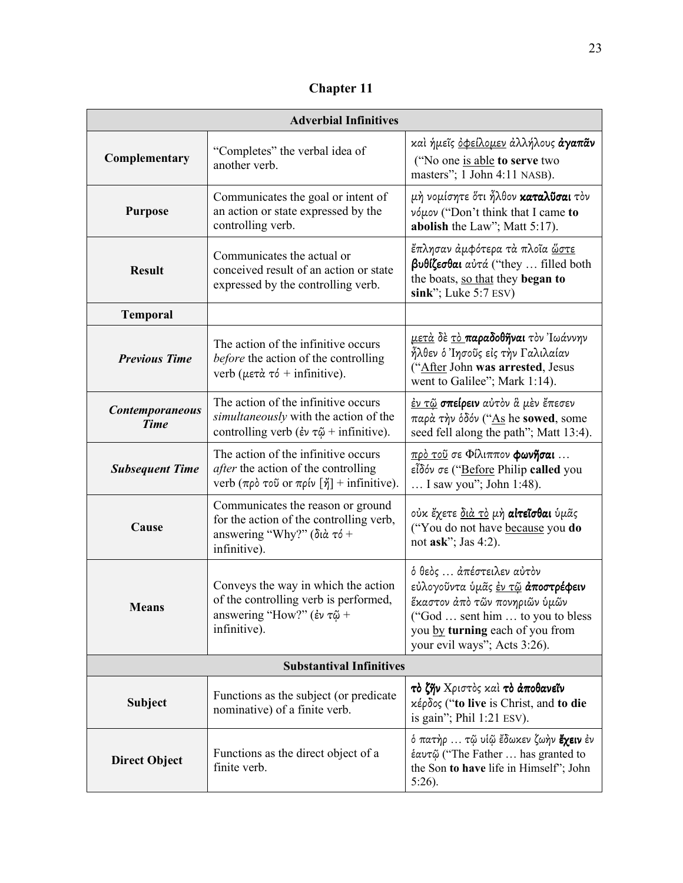**Chapter 11**

| <b>Adverbial Infinitives</b>          |                                                                                                                                                               |                                                                                                                                                                                                                     |  |
|---------------------------------------|---------------------------------------------------------------------------------------------------------------------------------------------------------------|---------------------------------------------------------------------------------------------------------------------------------------------------------------------------------------------------------------------|--|
| Complementary                         | "Completes" the verbal idea of<br>another verb.                                                                                                               | και ήμεῖς <u>ὀΦείλομεν</u> ἀλλήλους <b>ἀγαπᾶν</b><br>("No one is able to serve two<br>masters"; 1 John 4:11 NASB).                                                                                                  |  |
| <b>Purpose</b>                        | Communicates the goal or intent of<br>an action or state expressed by the<br>controlling verb.                                                                | μὴ νομίσητε ὅτι ἦλθον <b>καταλῦσαι</b> τὸν<br>νόμον ("Don't think that I came to<br>abolish the Law"; Matt 5:17).                                                                                                   |  |
| <b>Result</b>                         | Communicates the actual or<br>conceived result of an action or state<br>expressed by the controlling verb.                                                    | έπλησαν άμφότερα τα πλοΐα <u>ὥστε</u><br>βυθίζεσθαι αύτά ("they  filled both<br>the boats, so that they began to<br>$sink$ "; Luke 5:7 ESV)                                                                         |  |
| <b>Temporal</b>                       |                                                                                                                                                               |                                                                                                                                                                                                                     |  |
| <b>Previous Time</b>                  | The action of the infinitive occurs<br>before the action of the controlling<br>verb ( $\mu \in \mathfrak{a}$ $\tau \circ$ + infinitive).                      | <u>μετὰ</u> δὲ <u>τὸ</u> <b>παραδοθῆναι</b> τὸν Ἰωάννην<br>ἦλθεν ὁ Ἰησοῦς εἰς τὴν Γαλιλαίαν<br>("After John was arrested, Jesus<br>went to Galilee"; Mark 1:14).                                                    |  |
| <b>Contemporaneous</b><br><b>Time</b> | The action of the infinitive occurs<br>simultaneously with the action of the<br>controlling verb ( $\epsilon \nu \tau \tilde{\omega}$ + infinitive).          | <u>ἐν τῷ</u> <b>σπείρειν</b> αὐτὸν ἃ μὲν ἔπεσεν<br>παρά την όδόν ("As he sowed, some<br>seed fell along the path"; Matt 13:4).                                                                                      |  |
| <b>Subsequent Time</b>                | The action of the infinitive occurs<br><i>after</i> the action of the controlling<br>verb ( $\pi \rho \delta$ τοῦ or $\pi \rho \nu$ [ $\eta$ ] + infinitive). | <u>πρὸ τοῦ</u> σε Φίλιππον <b>φωνῆσαι</b><br>εἶδόν σε ("Before Philip called you<br>I saw you"; John 1:48).                                                                                                         |  |
| Cause                                 | Communicates the reason or ground<br>for the action of the controlling verb,<br>answering "Why?" ( $\delta t \dot{\alpha} \tau \delta$ +<br>infinitive).      | οὐκ ἔχετε <u>διὰ τὸ</u> μὴ <b>αἰτεῖσθαι</b> ὑμᾶς<br>("You do not have because you do<br>not ask"; Jas 4:2).                                                                                                         |  |
| Means                                 | Conveys the way in which the action<br>of the controlling verb is performed,<br>answering "How?" (έν τ $\tilde{\omega}$ +<br>infinitive).                     | ό θεός  άπέστειλεν αύτον<br>εὐλογοῦντα ὑμᾶς <u>ἐν τῷ</u> <b>ἀποστρέφειν</b><br>ἕκαστον ἀπὸ τῶν πονηριῶν ὑμῶν<br>("God  sent him  to you to bless<br>you by turning each of you from<br>your evil ways"; Acts 3:26). |  |
| <b>Substantival Infinitives</b>       |                                                                                                                                                               |                                                                                                                                                                                                                     |  |
| <b>Subject</b>                        | Functions as the subject (or predicate<br>nominative) of a finite verb.                                                                                       | τό ζην Χριστός καί τό άποθανεΐν<br>κέρδος ("to live is Christ, and to die<br>is gain"; Phil $1:21$ ESV).                                                                                                            |  |
| <b>Direct Object</b>                  | Functions as the direct object of a<br>finite verb.                                                                                                           | ό πατὴρ  τῷ υἱῷ ἔδωκεν ζωὴν <b>ἔχειν</b> ἐν<br>έαυτῷ ("The Father  has granted to<br>the Son to have life in Himself"; John<br>$5:26$ ).                                                                            |  |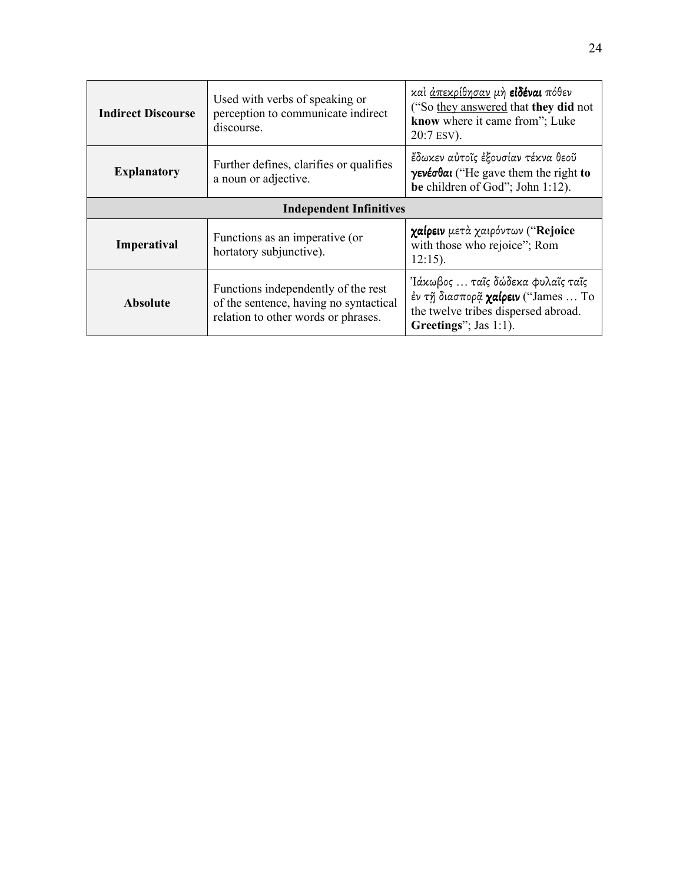| <b>Indirect Discourse</b>      | καὶ <u>ἀπεκρίθησαν</u> μὴ <b>εἰδέναι</b> πόθεν<br>Used with verbs of speaking or<br>("So they answered that they did not<br>perception to communicate indirect<br>know where it came from"; Luke<br>discourse.<br>20:7 ESV).                                    |                                                                                                               |  |
|--------------------------------|-----------------------------------------------------------------------------------------------------------------------------------------------------------------------------------------------------------------------------------------------------------------|---------------------------------------------------------------------------------------------------------------|--|
| <b>Explanatory</b>             | Further defines, clarifies or qualifies<br>a noun or adjective.                                                                                                                                                                                                 | έδωκεν αὐτοῖς ἐξουσίαν τέκνα θεοῦ<br>γενέσθαι ("He gave them the right to<br>be children of God"; John 1:12). |  |
| <b>Independent Infinitives</b> |                                                                                                                                                                                                                                                                 |                                                                                                               |  |
| Imperatival                    | Functions as an imperative (or<br>hortatory subjunctive).                                                                                                                                                                                                       | χαίρειν μετά χαιρόντων ("Rejoice<br>with those who rejoice"; Rom<br>$12:15$ ).                                |  |
| <b>Absolute</b>                | Ἰάκωβος … ταῖς δώδεκα φυλαῖς ταῖς<br>Functions independently of the rest<br>έν τη διασπορά χαίρειν ("James  Το<br>of the sentence, having no syntactical<br>the twelve tribes dispersed abroad.<br>relation to other words or phrases.<br>Greetings"; Jas 1:1). |                                                                                                               |  |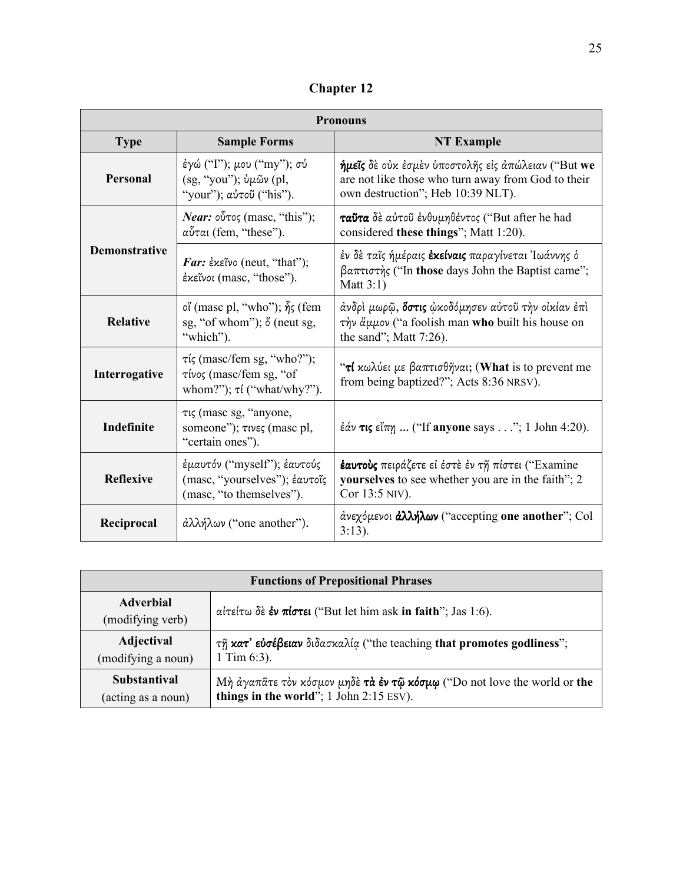| <b>Chapter 12</b> |  |
|-------------------|--|
|-------------------|--|

| <b>Pronouns</b>      |                                                                                                                     |                                                                                                                                               |
|----------------------|---------------------------------------------------------------------------------------------------------------------|-----------------------------------------------------------------------------------------------------------------------------------------------|
| <b>Type</b>          | <b>Sample Forms</b>                                                                                                 | <b>NT Example</b>                                                                                                                             |
| <b>Personal</b>      | έγώ ("Ι"); μου ("my"); σύ<br>(sg, "you"); ὑμῶν (pl,<br>"your"); αύτοῦ ("his").                                      | ήμεϊς δε ούκ έσμεν ύποστολής είς απώλειαν ("But we<br>are not like those who turn away from God to their<br>own destruction"; Heb 10:39 NLT). |
|                      | <i>Near</i> : $o\tilde{v}$ τος (masc, "this");<br>αὖται (fem, "these").                                             | ταΰτα δε αύτοῦ ένθυμηθέντος ("But after he had<br>considered these things"; Matt 1:20).                                                       |
| <b>Demonstrative</b> | Far: $\epsilon$ x $\epsilon$ ivo (neut, "that");<br>έκεῖνοι (masc, "those").                                        | έν δὲ ταῖς ἡμέραις <b>ἐκείναις</b> παραγίνεται Ἰωάννης ὁ<br>βαπτιστής ("In those days John the Baptist came";<br>Matt $3:1$                   |
| <b>Relative</b>      | oι' (masc pl, "who"); $\delta$ <sub>5</sub> (fem<br>sg, "of whom"); $\delta$ (neut sg,<br>"which").                 | άνδρὶ μωρῷ, <b>ὄστις</b> ὡκοδόμησεν αὐτοῦ τὴν οἰκίαν ἐπὶ<br>την άμμον ("a foolish man who built his house on<br>the sand"; Matt $7:26$ ).     |
| Interrogative        | $\tau$ <i>is</i> (masc/fem sg, "who?");<br>$\tau\omega\sigma$ (masc/fem sg, "of<br>whom?"); $\tau i$ ("what/why?"). | "τί κωλύει με βαπτισθῆναι; (What is to prevent me<br>from being baptized?"; Acts 8:36 NRSV).                                                  |
| Indefinite           | τις (masc sg, "anyone,<br>someone"); τινες (masc pl,<br>"certain ones").                                            | $\frac{2}{3}$ άν τις εἶπη  ("If anyone says"; 1 John 4:20).                                                                                   |
| <b>Reflexive</b>     | έμαυτόν ("myself"); έαυτούς<br>(masc, "yourselves"); έαυτοΐς<br>(masc, "to themselves").                            | έαυτούς πειράζετε εί έστε έν τη πίστει ("Examine<br>yourselves to see whether you are in the faith"; 2<br>Cor 13:5 NIV).                      |
| Reciprocal           | $\partial$ λλήλων ("one another").                                                                                  | άνεχόμενοι <b>άλλήλων</b> ("accepting one another"; Col<br>$3:13$ ).                                                                          |

| <b>Functions of Prepositional Phrases</b> |                                                                             |  |
|-------------------------------------------|-----------------------------------------------------------------------------|--|
| <b>Adverbial</b><br>(modifying verb)      | αίτείτω δε έν πίστει ("But let him ask in faith"; Jas 1:6).                 |  |
| Adjectival                                | $\tau$ η κατ' ευσέβειαν διδασκαλία ("the teaching that promotes godliness"; |  |
| (modifying a noun)                        | 1 Tim $6:3$ ).                                                              |  |
| <b>Substantival</b>                       | Μή άγαπᾶτε τον κόσμον μηδέ τα έν τῷ κόσμφ ("Do not love the world or the    |  |
| (acting as a noun)                        | things in the world"; 1 John 2:15 ESV).                                     |  |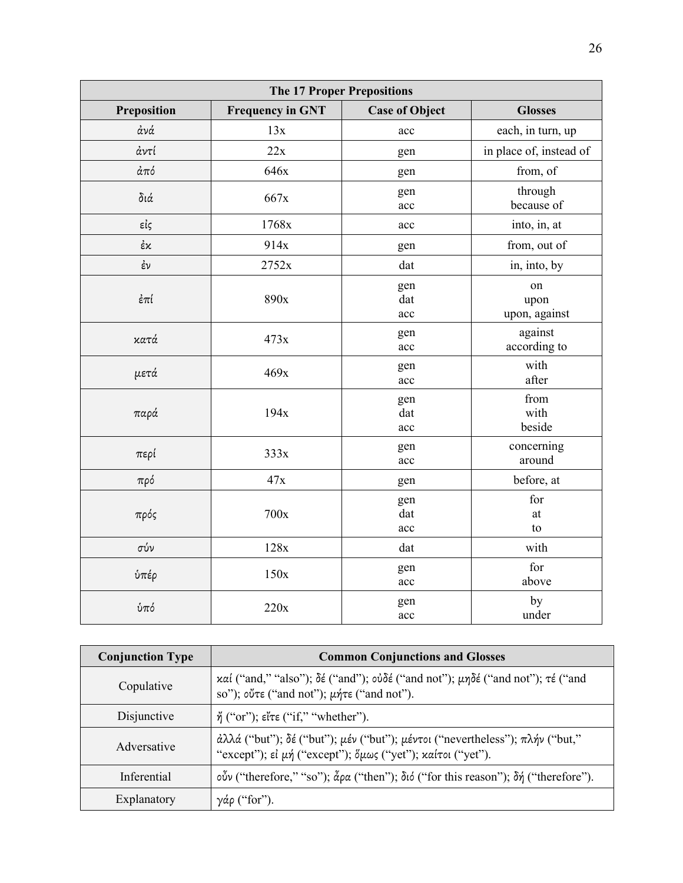| <b>The 17 Proper Prepositions</b> |                         |                       |                             |
|-----------------------------------|-------------------------|-----------------------|-----------------------------|
| Preposition                       | <b>Frequency in GNT</b> | <b>Case of Object</b> | <b>Glosses</b>              |
| άνά                               | 13x                     | acc                   | each, in turn, up           |
| άντί                              | 22x                     | gen                   | in place of, instead of     |
| απ <sub>0</sub>                   | 646x                    | gen                   | from, of                    |
| $\delta$ ιά                       | 667x                    | gen<br>acc            | through<br>because of       |
| εἰς                               | 1768x                   | acc                   | into, in, at                |
| ἐκ                                | 914x                    | gen                   | from, out of                |
| έν                                | 2752x                   | dat                   | in, into, by                |
| έ $π$ ί                           | 890x                    | gen<br>dat<br>acc     | on<br>upon<br>upon, against |
| κατά                              | 473x                    | gen<br>acc            | against<br>according to     |
| μετά                              | 469x                    | gen<br>acc            | with<br>after               |
| παρά                              | 194x                    | gen<br>dat<br>acc     | from<br>with<br>beside      |
| περί                              | 333x                    | gen<br>acc            | concerning<br>around        |
| πρό                               | 47x                     | gen                   | before, at                  |
| πρός                              | 700x                    | gen<br>dat<br>acc     | for<br>at<br>to             |
| σύν                               | 128x                    | dat                   | with                        |
| ύπέρ                              | 150x                    | gen<br>acc            | for<br>above                |
| ύπό                               | 220x                    | gen<br>acc            | by<br>under                 |

| <b>Conjunction Type</b> | <b>Common Conjunctions and Glosses</b>                                                                                                               |  |
|-------------------------|------------------------------------------------------------------------------------------------------------------------------------------------------|--|
| Copulative              | καί ("and," "also"); δέ ("and"); οὐδέ ("and not"); μηδέ ("and not"); τέ ("and<br>so"); ούτε ("and not"); $\mu$ ήτε ("and not").                      |  |
| Disjunctive             | $\eta'$ ("or"); $\epsilon \zeta \zeta$ ("if," "whether").                                                                                            |  |
| Adversative             | $\partial$ λλά ("but"); δέ ("but"); μέν ("but"); μέντοι ("nevertheless"); πλήν ("but,"<br>"except"); εί μή ("except"); ὅμως ("yet"); καίτοι ("yet"). |  |
| Inferential             | οὖν ("therefore," "so"); $\tilde{\alpha}$ ρα ("then"); διό ("for this reason"); δή ("therefore").                                                    |  |
| Explanatory             | γ <i>άρ</i> ("for").                                                                                                                                 |  |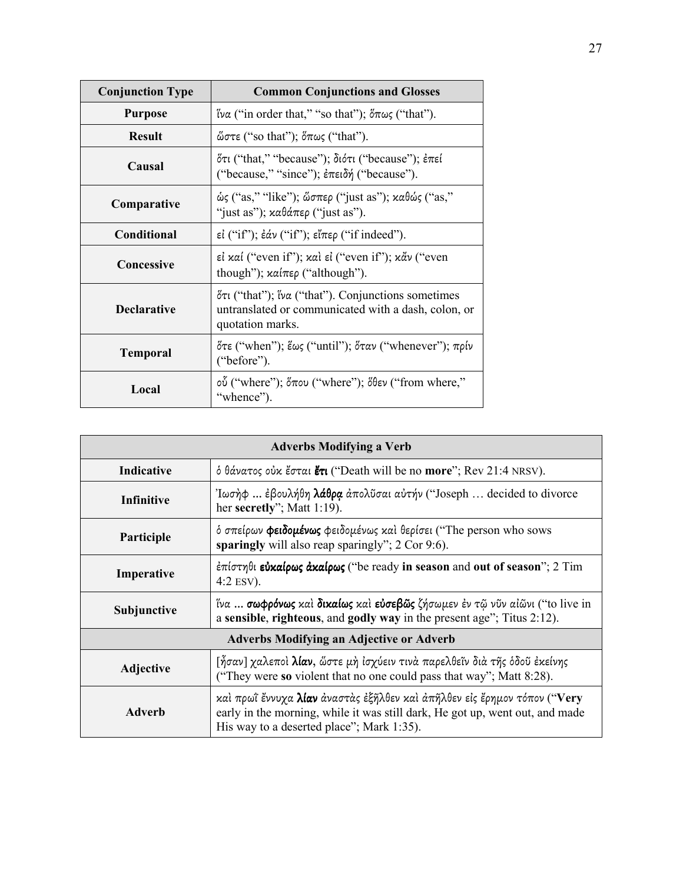| <b>Conjunction Type</b> | <b>Common Conjunctions and Glosses</b>                                                                                        |
|-------------------------|-------------------------------------------------------------------------------------------------------------------------------|
| <b>Purpose</b>          | ίνα ("in order that," "so that"); $\delta \pi \omega \varsigma$ ("that").                                                     |
| <b>Result</b>           | ώστε ("so that"); $\delta \pi \omega \zeta$ ("that").                                                                         |
| Causal                  | ότι ("that," "because"); διότι ("because"); επεί<br>("because," "since"); ἐπειδή ("because").                                 |
| Comparative             | $\omega$ ς ("as," "like"); ὥσπερ ("just as"); καθώς ("as,"<br>"just as"); $x\alpha\theta\alpha\pi\epsilon\rho$ ("just as").   |
| <b>Conditional</b>      | $ε$ <sup><math>i</math></sup> ("if"); $ε̃αν$ ("if"); $ε̃ι'περ$ ("if indeed").                                                 |
| Concessive              | εί καί ("even if"); καὶ εἰ ("even if"); κἆν ("even<br>though"); $x\alpha/\pi\epsilon\rho$ ("although").                       |
| <b>Declarative</b>      | ότι ("that"); ίνα ("that"). Conjunctions sometimes<br>untranslated or communicated with a dash, colon, or<br>quotation marks. |
| <b>Temporal</b>         | ότε ("when"); ἕως ("until"); ὅταν ("whenever"); πρίν<br>("before").                                                           |
| Local                   | οὖ ("where"); ὅπου ("where"); ὅθεν ("from where,"<br>"whence").                                                               |

| <b>Adverbs Modifying a Verb</b>                 |                                                                                                                                                                                                       |  |
|-------------------------------------------------|-------------------------------------------------------------------------------------------------------------------------------------------------------------------------------------------------------|--|
| Indicative                                      | ό θάνατος ούκ έσται έτι ("Death will be no more"; Rev 21:4 NRSV).                                                                                                                                     |  |
| Infinitive                                      | Ιωσήφ  έβουλήθη λάθρα άπολῦσαι αὐτήν ("Joseph  decided to divorce<br>her secretly"; Matt $1:19$ ).                                                                                                    |  |
| Participle                                      | ό σπείρων φειδομένως φειδομένως και θερίσει ("The person who sows<br>sparingly will also reap sparingly"; 2 Cor 9:6).                                                                                 |  |
| Imperative                                      | $\epsilon \pi$ ίστηθι εύκαίρως άκαίρως ("be ready in season and out of season"; 2 Tim<br>4:2 ESV).                                                                                                    |  |
| Subjunctive                                     | ίνα  σωφρόνως και δικαίως και εύσεβῶς ζήσωμεν έν τῷ νῦν αἰῶνι ("to live in<br>a sensible, righteous, and godly way in the present age"; Titus 2:12).                                                  |  |
| <b>Adverbs Modifying an Adjective or Adverb</b> |                                                                                                                                                                                                       |  |
| <b>Adjective</b>                                | [ἦσαν] χαλεποὶ <b>λίαν</b> , ὥστε μὴ ἰσχύειν τινὰ παρελθεῖν διὰ τῆς ὁδοῦ ἐκείνης<br>("They were so violent that no one could pass that way"; Matt 8:28).                                              |  |
| Adverb                                          | καί πρωΐ έννυχα λίαν άναστάς έξηλθεν και άπήλθεν είς έρημον τόπον ("Very<br>early in the morning, while it was still dark, He got up, went out, and made<br>His way to a deserted place"; Mark 1:35). |  |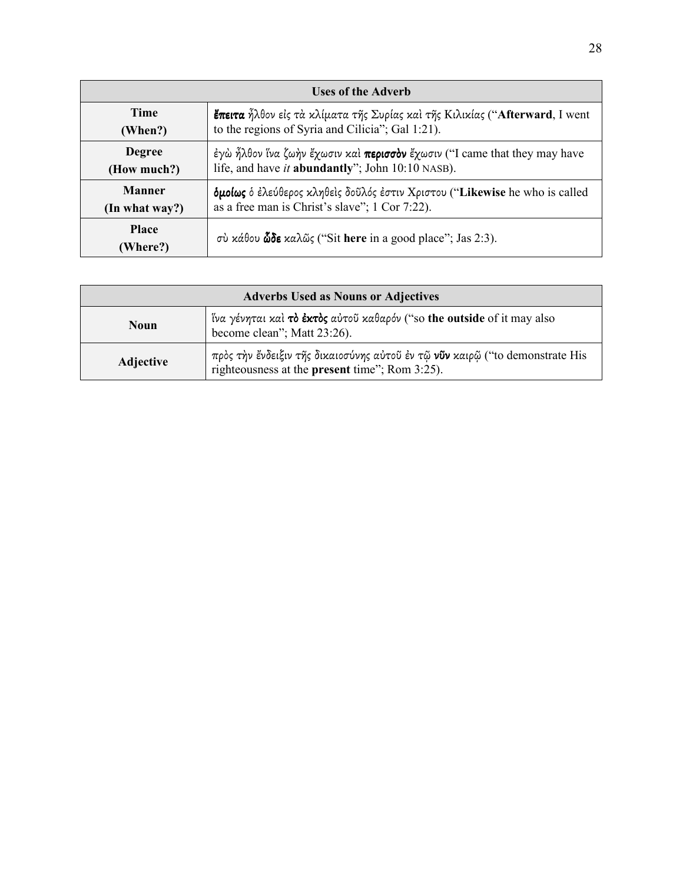| <b>Uses of the Adverb</b> |                                                                                    |  |
|---------------------------|------------------------------------------------------------------------------------|--|
| <b>Time</b>               | <b>ἔπειτα</b> ἦλθον εἰς τὰ κλίματα τῆς Συρίας καὶ τῆς Κιλικίας ("Afterward, I went |  |
| (When?)                   | to the regions of Syria and Cilicia"; Gal 1:21).                                   |  |
| <b>Degree</b>             | έγὼ ἦλθον ἵνα ζωήν ἔχωσιν καὶ περισσὸν ἔχωσιν ("I came that they may have          |  |
| (How much?)               | life, and have it <b>abundantly</b> "; John 10:10 NASB).                           |  |
| <b>Manner</b>             | δμοίως δ έλεύθερος κληθείς δοῦλός έστιν Χριστου ("Likewise he who is called        |  |
| (In what way?)            | as a free man is Christ's slave"; 1 Cor 7:22).                                     |  |
| <b>Place</b><br>(Where?)  | σύ κάθου <b>ὧδε</b> καλῶς ("Sit here in a good place"; Jas 2:3).                   |  |

| <b>Adverbs Used as Nouns or Adjectives</b> |                                                                                                                                |
|--------------------------------------------|--------------------------------------------------------------------------------------------------------------------------------|
| <b>Noun</b>                                | ίνα γένηται καί τό έκτός αύτου καθαρόν ("so the outside of it may also<br>become clean"; Matt 23:26).                          |
| <b>Adjective</b>                           | πρὸς τὴν ἔνδειξιν τῆς δικαιοσύνης αὐτοῦ ἐν τῷ νῦν καιρῷ ("to demonstrate His<br>righteousness at the present time"; Rom 3:25). |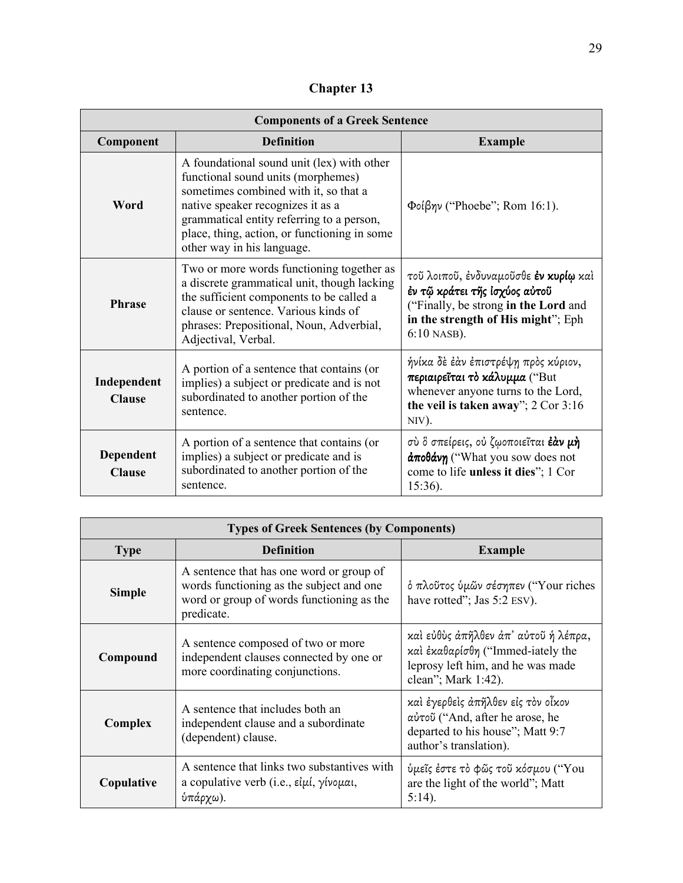**Chapter 13** 

| <b>Components of a Greek Sentence</b> |                                                                                                                                                                                                                                                                                           |                                                                                                                                                                              |
|---------------------------------------|-------------------------------------------------------------------------------------------------------------------------------------------------------------------------------------------------------------------------------------------------------------------------------------------|------------------------------------------------------------------------------------------------------------------------------------------------------------------------------|
| Component                             | <b>Definition</b>                                                                                                                                                                                                                                                                         | <b>Example</b>                                                                                                                                                               |
| Word                                  | A foundational sound unit (lex) with other<br>functional sound units (morphemes)<br>sometimes combined with it, so that a<br>native speaker recognizes it as a<br>grammatical entity referring to a person,<br>place, thing, action, or functioning in some<br>other way in his language. | $\Phi$ οίβην ("Phoebe"; Rom 16:1).                                                                                                                                           |
| <b>Phrase</b>                         | Two or more words functioning together as<br>a discrete grammatical unit, though lacking<br>the sufficient components to be called a<br>clause or sentence. Various kinds of<br>phrases: Prepositional, Noun, Adverbial,<br>Adjectival, Verbal.                                           | τοῦ λοιποῦ, ἐνδυναμοῦσθε <b>ἐν κυρίῳ</b> καὶ<br>έν τῷ κράτει τῆς Ισχύος αὐτοῦ<br>("Finally, be strong in the Lord and<br>in the strength of His might"; Eph<br>$6:10$ NASB). |
| Independent<br><b>Clause</b>          | A portion of a sentence that contains (or<br>implies) a subject or predicate and is not<br>subordinated to another portion of the<br>sentence.                                                                                                                                            | ήνίκα δὲ ἐὰν ἐπιστρέψη πρὸς κύριον,<br>περιαιρεΐται το κάλυμμα ("But<br>whenever anyone turns to the Lord,<br>the veil is taken away"; $2 \text{ Cor } 3:16$<br>NIV).        |
| <b>Dependent</b><br><b>Clause</b>     | A portion of a sentence that contains (or<br>implies) a subject or predicate and is<br>subordinated to another portion of the<br>sentence.                                                                                                                                                | σὺ ὃ σπείρεις, οὐ ζῳοποιεῖται <b>ἐὰν μὴ</b><br>$\frac{\partial \pi}{\partial \theta}$ ("What you sow does not<br>come to life unless it dies"; 1 Cor<br>$15:36$ ).           |

| <b>Types of Greek Sentences (by Components)</b> |                                                                                                                                                 |                                                                                                                                       |
|-------------------------------------------------|-------------------------------------------------------------------------------------------------------------------------------------------------|---------------------------------------------------------------------------------------------------------------------------------------|
| <b>Type</b>                                     | <b>Definition</b>                                                                                                                               | <b>Example</b>                                                                                                                        |
| <b>Simple</b>                                   | A sentence that has one word or group of<br>words functioning as the subject and one<br>word or group of words functioning as the<br>predicate. | δ πλοῦτος ὑμῶν σέσηπεν ("Your riches<br>have rotted"; Jas 5:2 ESV).                                                                   |
| Compound                                        | A sentence composed of two or more<br>independent clauses connected by one or<br>more coordinating conjunctions.                                | καί εύθὺς ἀπῆλθεν ἀπ' αὐτοῦ ή λέπρα,<br>καὶ ἐκαθαρίσθη ("Immed-iately the<br>leprosy left him, and he was made<br>clean"; Mark 1:42). |
| Complex                                         | A sentence that includes both an<br>independent clause and a subordinate<br>(dependent) clause.                                                 | καὶ ἐγερθεὶς ἀπῆλθεν εἰς τὸν οἶκον<br>αύτοῦ ("And, after he arose, he<br>departed to his house"; Matt 9:7<br>author's translation).   |
| Copulative                                      | A sentence that links two substantives with<br>a copulative verb (i.e., $\epsilon i\mu i$ , $\gamma i\nu \nu \mu \alpha i$ ,<br>ύπάρχω).        | ύμεῖς ἐστε τὸ φῶς τοῦ κόσμου ("You<br>are the light of the world"; Matt<br>$5:14$ ).                                                  |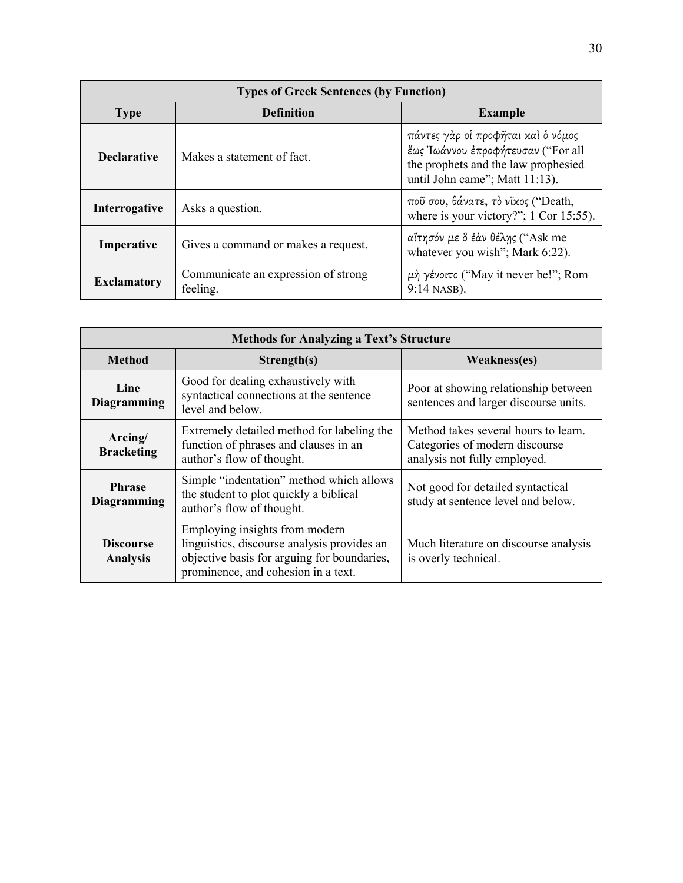| <b>Types of Greek Sentences (by Function)</b>     |                                                 |                                                                                                                                                   |
|---------------------------------------------------|-------------------------------------------------|---------------------------------------------------------------------------------------------------------------------------------------------------|
| <b>Type</b>                                       | <b>Definition</b>                               | <b>Example</b>                                                                                                                                    |
| <b>Declarative</b>                                | Makes a statement of fact.                      | πάντες γὰρ οἱ προφῆται καὶ ὁ νόμος<br>έως Ιωάννου έπροφήτευσαν ("For all<br>the prophets and the law prophesied<br>until John came"; Matt 11:13). |
| <b>Interrogative</b>                              | Asks a question.                                | ποῦ σου, θάνατε, τὸ νῖκος ("Death,<br>where is your victory?"; $1$ Cor 15:55).                                                                    |
| Gives a command or makes a request.<br>Imperative |                                                 | αἴτησόν με ὃ ἐὰν θέλης ("Ask me<br>whatever you wish"; Mark 6:22).                                                                                |
| <b>Exclamatory</b>                                | Communicate an expression of strong<br>feeling. | $\mu$ ή γένοιτο ("May it never be!"; Rom<br>9:14 NASB).                                                                                           |

| <b>Methods for Analyzing a Text's Structure</b>                                                                                                                                                                                    |                                                                                                                                                                                                                            |                                                                               |  |
|------------------------------------------------------------------------------------------------------------------------------------------------------------------------------------------------------------------------------------|----------------------------------------------------------------------------------------------------------------------------------------------------------------------------------------------------------------------------|-------------------------------------------------------------------------------|--|
| <b>Method</b>                                                                                                                                                                                                                      | Strength(s)                                                                                                                                                                                                                | Weakness(es)                                                                  |  |
| Line<br><b>Diagramming</b>                                                                                                                                                                                                         | Good for dealing exhaustively with<br>syntactical connections at the sentence<br>level and below.                                                                                                                          | Poor at showing relationship between<br>sentences and larger discourse units. |  |
| Arcing/<br><b>Bracketing</b>                                                                                                                                                                                                       | Extremely detailed method for labeling the<br>Method takes several hours to learn.<br>function of phrases and clauses in an<br>Categories of modern discourse<br>author's flow of thought.<br>analysis not fully employed. |                                                                               |  |
| <b>Phrase</b><br><b>Diagramming</b>                                                                                                                                                                                                | Simple "indentation" method which allows<br>the student to plot quickly a biblical<br>author's flow of thought.                                                                                                            | Not good for detailed syntactical<br>study at sentence level and below.       |  |
| Employing insights from modern<br>linguistics, discourse analysis provides an<br><b>Discourse</b><br>objective basis for arguing for boundaries,<br>is overly technical.<br><b>Analysis</b><br>prominence, and cohesion in a text. |                                                                                                                                                                                                                            | Much literature on discourse analysis                                         |  |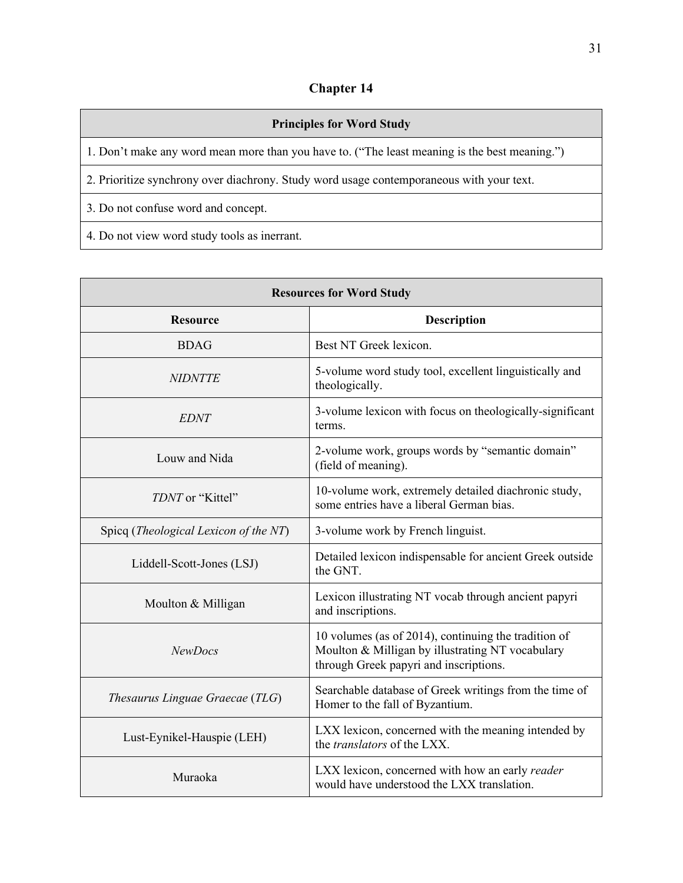## **Chapter 14**

| <b>Principles for Word Study</b>                                                              |
|-----------------------------------------------------------------------------------------------|
| 1. Don't make any word mean more than you have to. ("The least meaning is the best meaning.") |
| 2. Prioritize synchrony over diachrony. Study word usage contemporaneous with your text.      |
| 3. Do not confuse word and concept.                                                           |

4. Do not view word study tools as inerrant.

| <b>Resources for Word Study</b>       |                                                                                                                                                    |  |
|---------------------------------------|----------------------------------------------------------------------------------------------------------------------------------------------------|--|
| <b>Resource</b>                       | <b>Description</b>                                                                                                                                 |  |
| <b>BDAG</b>                           | Best NT Greek lexicon.                                                                                                                             |  |
| <b>NIDNTTE</b>                        | 5-volume word study tool, excellent linguistically and<br>theologically.                                                                           |  |
| <b>EDNT</b>                           | 3-volume lexicon with focus on theologically-significant<br>terms.                                                                                 |  |
| Louw and Nida                         | 2-volume work, groups words by "semantic domain"<br>(field of meaning).                                                                            |  |
| TDNT or "Kittel"                      | 10-volume work, extremely detailed diachronic study,<br>some entries have a liberal German bias.                                                   |  |
| Spicq (Theological Lexicon of the NT) | 3-volume work by French linguist.                                                                                                                  |  |
| Liddell-Scott-Jones (LSJ)             | Detailed lexicon indispensable for ancient Greek outside<br>the GNT.                                                                               |  |
| Moulton & Milligan                    | Lexicon illustrating NT vocab through ancient papyri<br>and inscriptions.                                                                          |  |
| <b>NewDocs</b>                        | 10 volumes (as of 2014), continuing the tradition of<br>Moulton & Milligan by illustrating NT vocabulary<br>through Greek papyri and inscriptions. |  |
| Thesaurus Linguae Graecae (TLG)       | Searchable database of Greek writings from the time of<br>Homer to the fall of Byzantium.                                                          |  |
| Lust-Eynikel-Hauspie (LEH)            | LXX lexicon, concerned with the meaning intended by<br>the <i>translators</i> of the LXX.                                                          |  |
| Muraoka                               | LXX lexicon, concerned with how an early reader<br>would have understood the LXX translation.                                                      |  |